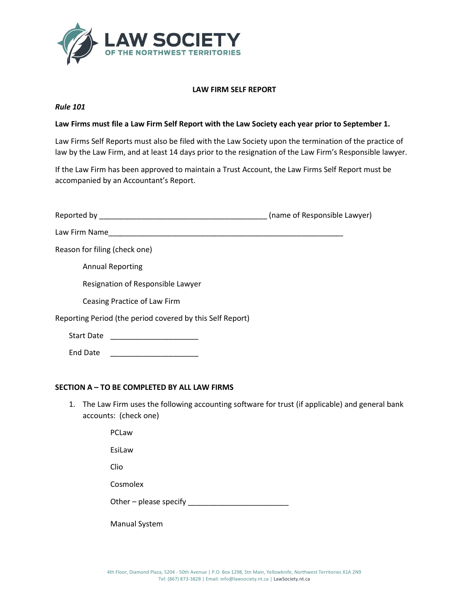

# **LAW FIRM SELF REPORT**

### *Rule 101*

# **Law Firms must file a Law Firm Self Report with the Law Society each year prior to September 1.**

Law Firms Self Reports must also be filed with the Law Society upon the termination of the practice of law by the Law Firm, and at least 14 days prior to the resignation of the Law Firm's Responsible lawyer.

If the Law Firm has been approved to maintain a Trust Account, the Law Firms Self Report must be accompanied by an Accountant's Report.

|                                                           | (name of Responsible Lawyer) |
|-----------------------------------------------------------|------------------------------|
| Law Firm Name                                             |                              |
| Reason for filing (check one)                             |                              |
| <b>Annual Reporting</b>                                   |                              |
| Resignation of Responsible Lawyer                         |                              |
| Ceasing Practice of Law Firm                              |                              |
| Reporting Period (the period covered by this Self Report) |                              |
| <b>Start Date</b>                                         |                              |
| <b>End Date</b>                                           |                              |

# **SECTION A – TO BE COMPLETED BY ALL LAW FIRMS**

1. The Law Firm uses the following accounting software for trust (if applicable) and general bank accounts: (check one)

> PCLaw EsiLaw Clio Cosmolex Other – please specify  $\frac{1}{2}$  and  $\frac{1}{2}$  and  $\frac{1}{2}$  and  $\frac{1}{2}$  and  $\frac{1}{2}$  and  $\frac{1}{2}$  and  $\frac{1}{2}$  and  $\frac{1}{2}$  and  $\frac{1}{2}$  and  $\frac{1}{2}$  and  $\frac{1}{2}$  and  $\frac{1}{2}$  and  $\frac{1}{2}$  and  $\frac{1}{2}$  and  $\$ Manual System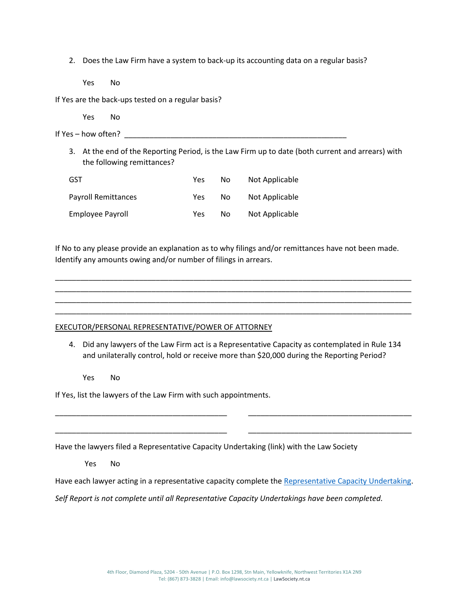2. Does the Law Firm have a system to back-up its accounting data on a regular basis?

Yes No

If Yes are the back-ups tested on a regular basis?

Yes No

If Yes – how often?  $\overline{\phantom{a} \phantom{a}}$ 

3. At the end of the Reporting Period, is the Law Firm up to date (both current and arrears) with the following remittances?

| GST                        | Yes | Nο | Not Applicable |
|----------------------------|-----|----|----------------|
| <b>Payroll Remittances</b> | Yes | Nο | Not Applicable |
| Employee Payroll           | Yes | Nο | Not Applicable |

If No to any please provide an explanation as to why filings and/or remittances have not been made. Identify any amounts owing and/or number of filings in arrears.

\_\_\_\_\_\_\_\_\_\_\_\_\_\_\_\_\_\_\_\_\_\_\_\_\_\_\_\_\_\_\_\_\_\_\_\_\_\_\_\_\_\_\_\_\_\_\_\_\_\_\_\_\_\_\_\_\_\_\_\_\_\_\_\_\_\_\_\_\_\_\_\_\_\_\_\_\_\_\_\_\_\_\_\_\_ \_\_\_\_\_\_\_\_\_\_\_\_\_\_\_\_\_\_\_\_\_\_\_\_\_\_\_\_\_\_\_\_\_\_\_\_\_\_\_\_\_\_\_\_\_\_\_\_\_\_\_\_\_\_\_\_\_\_\_\_\_\_\_\_\_\_\_\_\_\_\_\_\_\_\_\_\_\_\_\_\_\_\_\_\_ \_\_\_\_\_\_\_\_\_\_\_\_\_\_\_\_\_\_\_\_\_\_\_\_\_\_\_\_\_\_\_\_\_\_\_\_\_\_\_\_\_\_\_\_\_\_\_\_\_\_\_\_\_\_\_\_\_\_\_\_\_\_\_\_\_\_\_\_\_\_\_\_\_\_\_\_\_\_\_\_\_\_\_\_\_ \_\_\_\_\_\_\_\_\_\_\_\_\_\_\_\_\_\_\_\_\_\_\_\_\_\_\_\_\_\_\_\_\_\_\_\_\_\_\_\_\_\_\_\_\_\_\_\_\_\_\_\_\_\_\_\_\_\_\_\_\_\_\_\_\_\_\_\_\_\_\_\_\_\_\_\_\_\_\_\_\_\_\_\_\_

# EXECUTOR/PERSONAL REPRESENTATIVE/POWER OF ATTORNEY

4. Did any lawyers of the Law Firm act is a Representative Capacity as contemplated in Rule 134 and unilaterally control, hold or receive more than \$20,000 during the Reporting Period?

Yes No

If Yes, list the lawyers of the Law Firm with such appointments.

Have the lawyers filed a Representative Capacity Undertaking (link) with the Law Society

Yes No

Have each lawyer acting in a representative capacity complete th[e Representative Capacity Undertaking.](https://www.lawsociety.nt.ca/sites/default/files/Representative%20Capacity%20Undertaking_0.pdf)

\_\_\_\_\_\_\_\_\_\_\_\_\_\_\_\_\_\_\_\_\_\_\_\_\_\_\_\_\_\_\_\_\_\_\_\_\_\_\_\_\_ \_\_\_\_\_\_\_\_\_\_\_\_\_\_\_\_\_\_\_\_\_\_\_\_\_\_\_\_\_\_\_\_\_\_\_\_\_\_\_

\_\_\_\_\_\_\_\_\_\_\_\_\_\_\_\_\_\_\_\_\_\_\_\_\_\_\_\_\_\_\_\_\_\_\_\_\_\_\_\_\_ \_\_\_\_\_\_\_\_\_\_\_\_\_\_\_\_\_\_\_\_\_\_\_\_\_\_\_\_\_\_\_\_\_\_\_\_\_\_\_

*Self Report is not complete until all Representative Capacity Undertakings have been completed.*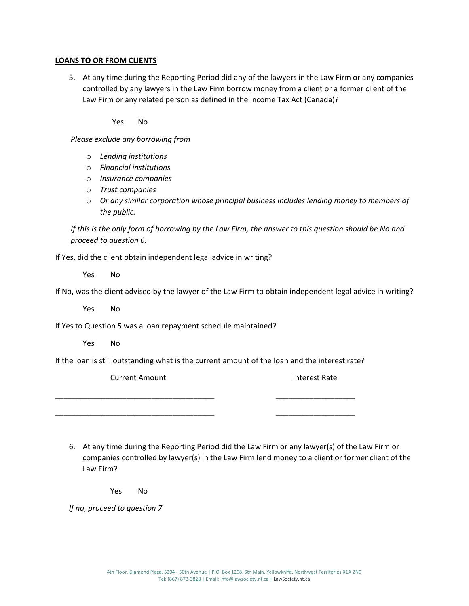# **LOANS TO OR FROM CLIENTS**

5. At any time during the Reporting Period did any of the lawyers in the Law Firm or any companies controlled by any lawyers in the Law Firm borrow money from a client or a former client of the Law Firm or any related person as defined in the Income Tax Act (Canada)?

Yes No

*Please exclude any borrowing from* 

- o *Lending institutions*
- o *Financial institutions*
- o *Insurance companies*
- o *Trust companies*
- o *Or any similar corporation whose principal business includes lending money to members of the public.*

*If this is the only form of borrowing by the Law Firm, the answer to this question should be No and proceed to question 6.*

If Yes, did the client obtain independent legal advice in writing?

Yes No

If No, was the client advised by the lawyer of the Law Firm to obtain independent legal advice in writing?

Yes No

If Yes to Question 5 was a loan repayment schedule maintained?

Yes No

If the loan is still outstanding what is the current amount of the loan and the interest rate?

\_\_\_\_\_\_\_\_\_\_\_\_\_\_\_\_\_\_\_\_\_\_\_\_\_\_\_\_\_\_\_\_\_\_\_\_\_\_ \_\_\_\_\_\_\_\_\_\_\_\_\_\_\_\_\_\_\_

\_\_\_\_\_\_\_\_\_\_\_\_\_\_\_\_\_\_\_\_\_\_\_\_\_\_\_\_\_\_\_\_\_\_\_\_\_\_ \_\_\_\_\_\_\_\_\_\_\_\_\_\_\_\_\_\_\_

Current Amount **Interest Rate** 

6. At any time during the Reporting Period did the Law Firm or any lawyer(s) of the Law Firm or companies controlled by lawyer(s) in the Law Firm lend money to a client or former client of the Law Firm?

Yes No

*If no, proceed to question 7*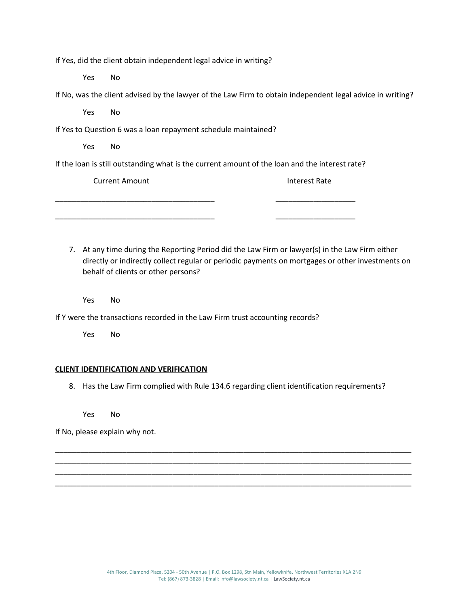If Yes, did the client obtain independent legal advice in writing?

Yes No

| If No, was the client advised by the lawyer of the Law Firm to obtain independent legal advice in writing? |  |  |  |
|------------------------------------------------------------------------------------------------------------|--|--|--|
|------------------------------------------------------------------------------------------------------------|--|--|--|

Yes No

If Yes to Question 6 was a loan repayment schedule maintained?

Yes No

If the loan is still outstanding what is the current amount of the loan and the interest rate?

\_\_\_\_\_\_\_\_\_\_\_\_\_\_\_\_\_\_\_\_\_\_\_\_\_\_\_\_\_\_\_\_\_\_\_\_\_\_ \_\_\_\_\_\_\_\_\_\_\_\_\_\_\_\_\_\_\_

Current Amount

\_\_\_\_\_\_\_\_\_\_\_\_\_\_\_\_\_\_\_\_\_\_\_\_\_\_\_\_\_\_\_\_\_\_\_\_\_\_

Interest Rate

\_\_\_\_\_\_\_\_\_\_\_\_\_\_\_\_\_\_\_

7. At any time during the Reporting Period did the Law Firm or lawyer(s) in the Law Firm either directly or indirectly collect regular or periodic payments on mortgages or other investments on behalf of clients or other persons?

Yes No

If Y were the transactions recorded in the Law Firm trust accounting records?

Yes No

# **CLIENT IDENTIFICATION AND VERIFICATION**

8. Has the Law Firm complied with Rule 134.6 regarding client identification requirements?

\_\_\_\_\_\_\_\_\_\_\_\_\_\_\_\_\_\_\_\_\_\_\_\_\_\_\_\_\_\_\_\_\_\_\_\_\_\_\_\_\_\_\_\_\_\_\_\_\_\_\_\_\_\_\_\_\_\_\_\_\_\_\_\_\_\_\_\_\_\_\_\_\_\_\_\_\_\_\_\_\_\_\_\_\_ \_\_\_\_\_\_\_\_\_\_\_\_\_\_\_\_\_\_\_\_\_\_\_\_\_\_\_\_\_\_\_\_\_\_\_\_\_\_\_\_\_\_\_\_\_\_\_\_\_\_\_\_\_\_\_\_\_\_\_\_\_\_\_\_\_\_\_\_\_\_\_\_\_\_\_\_\_\_\_\_\_\_\_\_\_ \_\_\_\_\_\_\_\_\_\_\_\_\_\_\_\_\_\_\_\_\_\_\_\_\_\_\_\_\_\_\_\_\_\_\_\_\_\_\_\_\_\_\_\_\_\_\_\_\_\_\_\_\_\_\_\_\_\_\_\_\_\_\_\_\_\_\_\_\_\_\_\_\_\_\_\_\_\_\_\_\_\_\_\_\_ \_\_\_\_\_\_\_\_\_\_\_\_\_\_\_\_\_\_\_\_\_\_\_\_\_\_\_\_\_\_\_\_\_\_\_\_\_\_\_\_\_\_\_\_\_\_\_\_\_\_\_\_\_\_\_\_\_\_\_\_\_\_\_\_\_\_\_\_\_\_\_\_\_\_\_\_\_\_\_\_\_\_\_\_\_

Yes No

If No, please explain why not.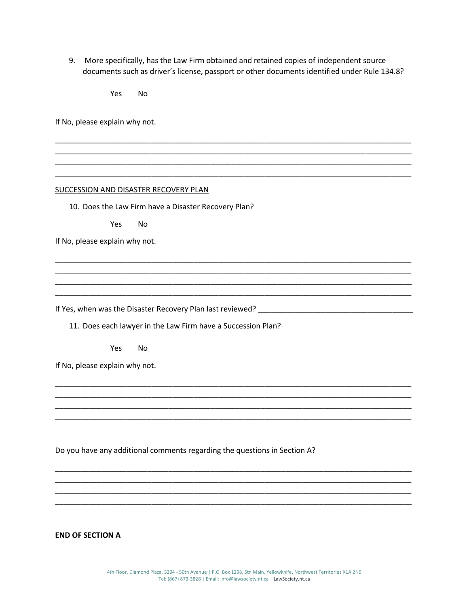9. More specifically, has the Law Firm obtained and retained copies of independent source documents such as driver's license, passport or other documents identified under Rule 134.8?

> Yes **No**

If No, please explain why not.

#### SUCCESSION AND DISASTER RECOVERY PLAN

10. Does the Law Firm have a Disaster Recovery Plan?

Yes **No** 

If No, please explain why not.

11. Does each lawyer in the Law Firm have a Succession Plan?

Yes **No** 

If No, please explain why not.

Do you have any additional comments regarding the questions in Section A?

**END OF SECTION A**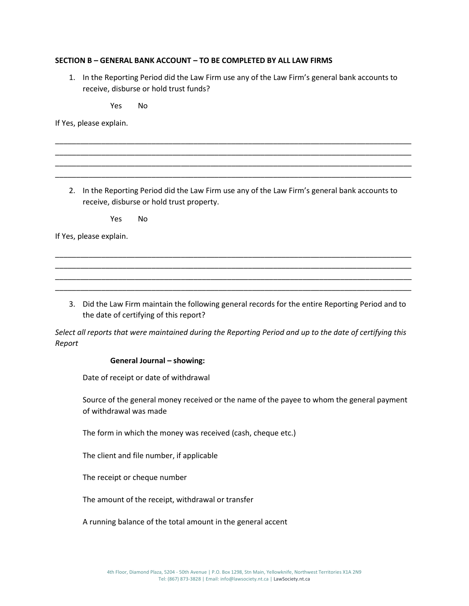# **SECTION B – GENERAL BANK ACCOUNT – TO BE COMPLETED BY ALL LAW FIRMS**

1. In the Reporting Period did the Law Firm use any of the Law Firm's general bank accounts to receive, disburse or hold trust funds?

Yes No

If Yes, please explain.

2. In the Reporting Period did the Law Firm use any of the Law Firm's general bank accounts to receive, disburse or hold trust property.

\_\_\_\_\_\_\_\_\_\_\_\_\_\_\_\_\_\_\_\_\_\_\_\_\_\_\_\_\_\_\_\_\_\_\_\_\_\_\_\_\_\_\_\_\_\_\_\_\_\_\_\_\_\_\_\_\_\_\_\_\_\_\_\_\_\_\_\_\_\_\_\_\_\_\_\_\_\_\_\_\_\_\_\_\_ \_\_\_\_\_\_\_\_\_\_\_\_\_\_\_\_\_\_\_\_\_\_\_\_\_\_\_\_\_\_\_\_\_\_\_\_\_\_\_\_\_\_\_\_\_\_\_\_\_\_\_\_\_\_\_\_\_\_\_\_\_\_\_\_\_\_\_\_\_\_\_\_\_\_\_\_\_\_\_\_\_\_\_\_\_ \_\_\_\_\_\_\_\_\_\_\_\_\_\_\_\_\_\_\_\_\_\_\_\_\_\_\_\_\_\_\_\_\_\_\_\_\_\_\_\_\_\_\_\_\_\_\_\_\_\_\_\_\_\_\_\_\_\_\_\_\_\_\_\_\_\_\_\_\_\_\_\_\_\_\_\_\_\_\_\_\_\_\_\_\_ \_\_\_\_\_\_\_\_\_\_\_\_\_\_\_\_\_\_\_\_\_\_\_\_\_\_\_\_\_\_\_\_\_\_\_\_\_\_\_\_\_\_\_\_\_\_\_\_\_\_\_\_\_\_\_\_\_\_\_\_\_\_\_\_\_\_\_\_\_\_\_\_\_\_\_\_\_\_\_\_\_\_\_\_\_

\_\_\_\_\_\_\_\_\_\_\_\_\_\_\_\_\_\_\_\_\_\_\_\_\_\_\_\_\_\_\_\_\_\_\_\_\_\_\_\_\_\_\_\_\_\_\_\_\_\_\_\_\_\_\_\_\_\_\_\_\_\_\_\_\_\_\_\_\_\_\_\_\_\_\_\_\_\_\_\_\_\_\_\_\_ \_\_\_\_\_\_\_\_\_\_\_\_\_\_\_\_\_\_\_\_\_\_\_\_\_\_\_\_\_\_\_\_\_\_\_\_\_\_\_\_\_\_\_\_\_\_\_\_\_\_\_\_\_\_\_\_\_\_\_\_\_\_\_\_\_\_\_\_\_\_\_\_\_\_\_\_\_\_\_\_\_\_\_\_\_ \_\_\_\_\_\_\_\_\_\_\_\_\_\_\_\_\_\_\_\_\_\_\_\_\_\_\_\_\_\_\_\_\_\_\_\_\_\_\_\_\_\_\_\_\_\_\_\_\_\_\_\_\_\_\_\_\_\_\_\_\_\_\_\_\_\_\_\_\_\_\_\_\_\_\_\_\_\_\_\_\_\_\_\_\_ \_\_\_\_\_\_\_\_\_\_\_\_\_\_\_\_\_\_\_\_\_\_\_\_\_\_\_\_\_\_\_\_\_\_\_\_\_\_\_\_\_\_\_\_\_\_\_\_\_\_\_\_\_\_\_\_\_\_\_\_\_\_\_\_\_\_\_\_\_\_\_\_\_\_\_\_\_\_\_\_\_\_\_\_\_

Yes No

If Yes, please explain.

3. Did the Law Firm maintain the following general records for the entire Reporting Period and to the date of certifying of this report?

*Select all reports that were maintained during the Reporting Period and up to the date of certifying this Report*

#### **General Journal – showing:**

Date of receipt or date of withdrawal

Source of the general money received or the name of the payee to whom the general payment of withdrawal was made

The form in which the money was received (cash, cheque etc.)

The client and file number, if applicable

The receipt or cheque number

The amount of the receipt, withdrawal or transfer

A running balance of the total amount in the general accent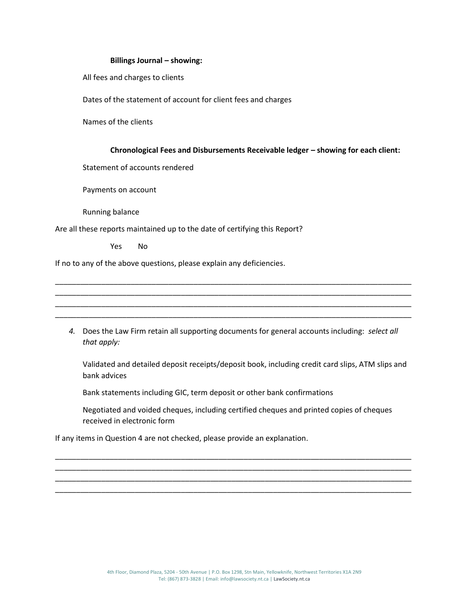#### **Billings Journal – showing:**

All fees and charges to clients

Dates of the statement of account for client fees and charges

Names of the clients

#### **Chronological Fees and Disbursements Receivable ledger – showing for each client:**

Statement of accounts rendered

Payments on account

Running balance

Are all these reports maintained up to the date of certifying this Report?

Yes No

If no to any of the above questions, please explain any deficiencies.

*4.* Does the Law Firm retain all supporting documents for general accounts including: *select all that apply:*

\_\_\_\_\_\_\_\_\_\_\_\_\_\_\_\_\_\_\_\_\_\_\_\_\_\_\_\_\_\_\_\_\_\_\_\_\_\_\_\_\_\_\_\_\_\_\_\_\_\_\_\_\_\_\_\_\_\_\_\_\_\_\_\_\_\_\_\_\_\_\_\_\_\_\_\_\_\_\_\_\_\_\_\_\_ \_\_\_\_\_\_\_\_\_\_\_\_\_\_\_\_\_\_\_\_\_\_\_\_\_\_\_\_\_\_\_\_\_\_\_\_\_\_\_\_\_\_\_\_\_\_\_\_\_\_\_\_\_\_\_\_\_\_\_\_\_\_\_\_\_\_\_\_\_\_\_\_\_\_\_\_\_\_\_\_\_\_\_\_\_ \_\_\_\_\_\_\_\_\_\_\_\_\_\_\_\_\_\_\_\_\_\_\_\_\_\_\_\_\_\_\_\_\_\_\_\_\_\_\_\_\_\_\_\_\_\_\_\_\_\_\_\_\_\_\_\_\_\_\_\_\_\_\_\_\_\_\_\_\_\_\_\_\_\_\_\_\_\_\_\_\_\_\_\_\_ \_\_\_\_\_\_\_\_\_\_\_\_\_\_\_\_\_\_\_\_\_\_\_\_\_\_\_\_\_\_\_\_\_\_\_\_\_\_\_\_\_\_\_\_\_\_\_\_\_\_\_\_\_\_\_\_\_\_\_\_\_\_\_\_\_\_\_\_\_\_\_\_\_\_\_\_\_\_\_\_\_\_\_\_\_

Validated and detailed deposit receipts/deposit book, including credit card slips, ATM slips and bank advices

Bank statements including GIC, term deposit or other bank confirmations

Negotiated and voided cheques, including certified cheques and printed copies of cheques received in electronic form

\_\_\_\_\_\_\_\_\_\_\_\_\_\_\_\_\_\_\_\_\_\_\_\_\_\_\_\_\_\_\_\_\_\_\_\_\_\_\_\_\_\_\_\_\_\_\_\_\_\_\_\_\_\_\_\_\_\_\_\_\_\_\_\_\_\_\_\_\_\_\_\_\_\_\_\_\_\_\_\_\_\_\_\_\_ \_\_\_\_\_\_\_\_\_\_\_\_\_\_\_\_\_\_\_\_\_\_\_\_\_\_\_\_\_\_\_\_\_\_\_\_\_\_\_\_\_\_\_\_\_\_\_\_\_\_\_\_\_\_\_\_\_\_\_\_\_\_\_\_\_\_\_\_\_\_\_\_\_\_\_\_\_\_\_\_\_\_\_\_\_ \_\_\_\_\_\_\_\_\_\_\_\_\_\_\_\_\_\_\_\_\_\_\_\_\_\_\_\_\_\_\_\_\_\_\_\_\_\_\_\_\_\_\_\_\_\_\_\_\_\_\_\_\_\_\_\_\_\_\_\_\_\_\_\_\_\_\_\_\_\_\_\_\_\_\_\_\_\_\_\_\_\_\_\_\_ \_\_\_\_\_\_\_\_\_\_\_\_\_\_\_\_\_\_\_\_\_\_\_\_\_\_\_\_\_\_\_\_\_\_\_\_\_\_\_\_\_\_\_\_\_\_\_\_\_\_\_\_\_\_\_\_\_\_\_\_\_\_\_\_\_\_\_\_\_\_\_\_\_\_\_\_\_\_\_\_\_\_\_\_\_

If any items in Question 4 are not checked, please provide an explanation.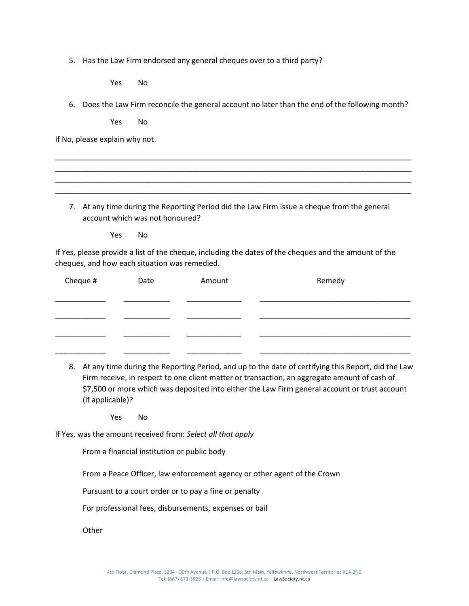5. Has the Law Firm endorsed any general cheques over to a third party?

Yes No

6. Does the Law Firm reconcile the general account no later than the end of the following month?

Yes No

If No, please explain why not.

7. At any time during the Reporting Period did the Law Firm issue a cheque from the general account which was not honoured?

\_\_\_\_\_\_\_\_\_\_\_\_\_\_\_\_\_\_\_\_\_\_\_\_\_\_\_\_\_\_\_\_\_\_\_\_\_\_\_\_\_\_\_\_\_\_\_\_\_\_\_\_\_\_\_\_\_\_\_\_\_\_\_\_\_\_\_\_\_\_\_\_\_\_\_\_\_\_\_\_\_\_\_\_\_ \_\_\_\_\_\_\_\_\_\_\_\_\_\_\_\_\_\_\_\_\_\_\_\_\_\_\_\_\_\_\_\_\_\_\_\_\_\_\_\_\_\_\_\_\_\_\_\_\_\_\_\_\_\_\_\_\_\_\_\_\_\_\_\_\_\_\_\_\_\_\_\_\_\_\_\_\_\_\_\_\_\_\_\_\_ \_\_\_\_\_\_\_\_\_\_\_\_\_\_\_\_\_\_\_\_\_\_\_\_\_\_\_\_\_\_\_\_\_\_\_\_\_\_\_\_\_\_\_\_\_\_\_\_\_\_\_\_\_\_\_\_\_\_\_\_\_\_\_\_\_\_\_\_\_\_\_\_\_\_\_\_\_\_\_\_\_\_\_\_\_ \_\_\_\_\_\_\_\_\_\_\_\_\_\_\_\_\_\_\_\_\_\_\_\_\_\_\_\_\_\_\_\_\_\_\_\_\_\_\_\_\_\_\_\_\_\_\_\_\_\_\_\_\_\_\_\_\_\_\_\_\_\_\_\_\_\_\_\_\_\_\_\_\_\_\_\_\_\_\_\_\_\_\_\_\_

Yes No

If Yes, please provide a list of the cheque, including the dates of the cheques and the amount of the cheques, and how each situation was remedied.

| Cheque # | Date | Amount | Remedy |
|----------|------|--------|--------|
|          |      |        |        |
|          |      |        |        |
|          |      |        |        |
|          |      |        |        |

8. At any time during the Reporting Period, and up to the date of certifying this Report, did the Law Firm receive, in respect to one client matter or transaction, an aggregate amount of cash of \$7,500 or more which was deposited into either the Law Firm general account or trust account (if applicable)?

Yes No

If Yes, was the amount received from: *Select all that apply*

From a financial institution or public body

From a Peace Officer, law enforcement agency or other agent of the Crown

Pursuant to a court order or to pay a fine or penalty

For professional fees, disbursements, expenses or bail

**Other**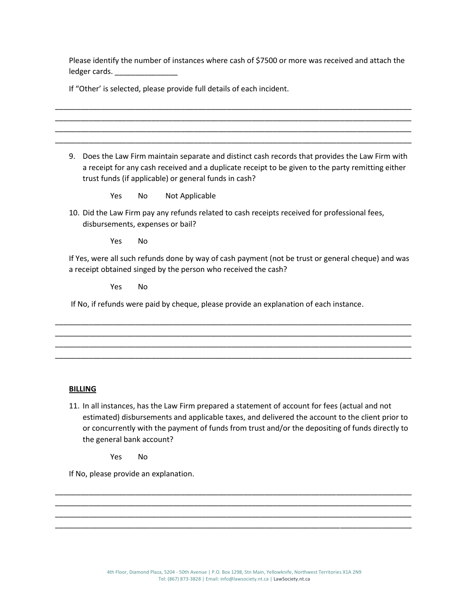Please identify the number of instances where cash of \$7500 or more was received and attach the ledger cards.

\_\_\_\_\_\_\_\_\_\_\_\_\_\_\_\_\_\_\_\_\_\_\_\_\_\_\_\_\_\_\_\_\_\_\_\_\_\_\_\_\_\_\_\_\_\_\_\_\_\_\_\_\_\_\_\_\_\_\_\_\_\_\_\_\_\_\_\_\_\_\_\_\_\_\_\_\_\_\_\_\_\_\_\_\_ \_\_\_\_\_\_\_\_\_\_\_\_\_\_\_\_\_\_\_\_\_\_\_\_\_\_\_\_\_\_\_\_\_\_\_\_\_\_\_\_\_\_\_\_\_\_\_\_\_\_\_\_\_\_\_\_\_\_\_\_\_\_\_\_\_\_\_\_\_\_\_\_\_\_\_\_\_\_\_\_\_\_\_\_\_ \_\_\_\_\_\_\_\_\_\_\_\_\_\_\_\_\_\_\_\_\_\_\_\_\_\_\_\_\_\_\_\_\_\_\_\_\_\_\_\_\_\_\_\_\_\_\_\_\_\_\_\_\_\_\_\_\_\_\_\_\_\_\_\_\_\_\_\_\_\_\_\_\_\_\_\_\_\_\_\_\_\_\_\_\_ \_\_\_\_\_\_\_\_\_\_\_\_\_\_\_\_\_\_\_\_\_\_\_\_\_\_\_\_\_\_\_\_\_\_\_\_\_\_\_\_\_\_\_\_\_\_\_\_\_\_\_\_\_\_\_\_\_\_\_\_\_\_\_\_\_\_\_\_\_\_\_\_\_\_\_\_\_\_\_\_\_\_\_\_\_

If "Other' is selected, please provide full details of each incident.

9. Does the Law Firm maintain separate and distinct cash records that provides the Law Firm with a receipt for any cash received and a duplicate receipt to be given to the party remitting either trust funds (if applicable) or general funds in cash?

Yes No Not Applicable

10. Did the Law Firm pay any refunds related to cash receipts received for professional fees, disbursements, expenses or bail?

Yes No

If Yes, were all such refunds done by way of cash payment (not be trust or general cheque) and was a receipt obtained singed by the person who received the cash?

\_\_\_\_\_\_\_\_\_\_\_\_\_\_\_\_\_\_\_\_\_\_\_\_\_\_\_\_\_\_\_\_\_\_\_\_\_\_\_\_\_\_\_\_\_\_\_\_\_\_\_\_\_\_\_\_\_\_\_\_\_\_\_\_\_\_\_\_\_\_\_\_\_\_\_\_\_\_\_\_\_\_\_\_\_ \_\_\_\_\_\_\_\_\_\_\_\_\_\_\_\_\_\_\_\_\_\_\_\_\_\_\_\_\_\_\_\_\_\_\_\_\_\_\_\_\_\_\_\_\_\_\_\_\_\_\_\_\_\_\_\_\_\_\_\_\_\_\_\_\_\_\_\_\_\_\_\_\_\_\_\_\_\_\_\_\_\_\_\_\_ \_\_\_\_\_\_\_\_\_\_\_\_\_\_\_\_\_\_\_\_\_\_\_\_\_\_\_\_\_\_\_\_\_\_\_\_\_\_\_\_\_\_\_\_\_\_\_\_\_\_\_\_\_\_\_\_\_\_\_\_\_\_\_\_\_\_\_\_\_\_\_\_\_\_\_\_\_\_\_\_\_\_\_\_\_ \_\_\_\_\_\_\_\_\_\_\_\_\_\_\_\_\_\_\_\_\_\_\_\_\_\_\_\_\_\_\_\_\_\_\_\_\_\_\_\_\_\_\_\_\_\_\_\_\_\_\_\_\_\_\_\_\_\_\_\_\_\_\_\_\_\_\_\_\_\_\_\_\_\_\_\_\_\_\_\_\_\_\_\_\_

Yes No

If No, if refunds were paid by cheque, please provide an explanation of each instance.

#### **BILLING**

11. In all instances, has the Law Firm prepared a statement of account for fees (actual and not estimated) disbursements and applicable taxes, and delivered the account to the client prior to or concurrently with the payment of funds from trust and/or the depositing of funds directly to the general bank account?

Yes No

If No, please provide an explanation.

\_\_\_\_\_\_\_\_\_\_\_\_\_\_\_\_\_\_\_\_\_\_\_\_\_\_\_\_\_\_\_\_\_\_\_\_\_\_\_\_\_\_\_\_\_\_\_\_\_\_\_\_\_\_\_\_\_\_\_\_\_\_\_\_\_\_\_\_\_\_\_\_\_\_\_\_\_\_\_\_\_\_\_\_\_ \_\_\_\_\_\_\_\_\_\_\_\_\_\_\_\_\_\_\_\_\_\_\_\_\_\_\_\_\_\_\_\_\_\_\_\_\_\_\_\_\_\_\_\_\_\_\_\_\_\_\_\_\_\_\_\_\_\_\_\_\_\_\_\_\_\_\_\_\_\_\_\_\_\_\_\_\_\_\_\_\_\_\_\_\_ \_\_\_\_\_\_\_\_\_\_\_\_\_\_\_\_\_\_\_\_\_\_\_\_\_\_\_\_\_\_\_\_\_\_\_\_\_\_\_\_\_\_\_\_\_\_\_\_\_\_\_\_\_\_\_\_\_\_\_\_\_\_\_\_\_\_\_\_\_\_\_\_\_\_\_\_\_\_\_\_\_\_\_\_\_ \_\_\_\_\_\_\_\_\_\_\_\_\_\_\_\_\_\_\_\_\_\_\_\_\_\_\_\_\_\_\_\_\_\_\_\_\_\_\_\_\_\_\_\_\_\_\_\_\_\_\_\_\_\_\_\_\_\_\_\_\_\_\_\_\_\_\_\_\_\_\_\_\_\_\_\_\_\_\_\_\_\_\_\_\_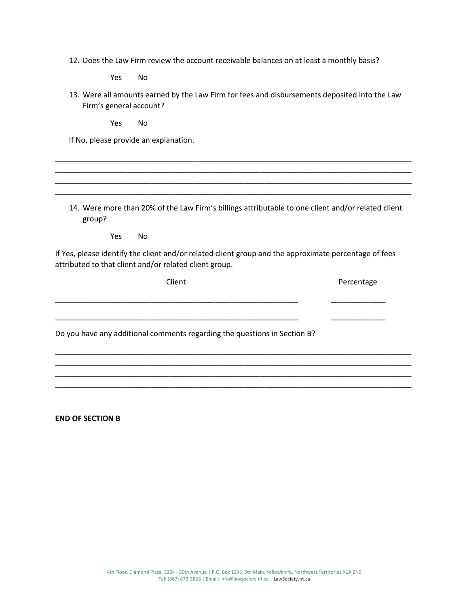12. Does the Law Firm review the account receivable balances on at least a monthly basis?

Yes No

13. Were all amounts earned by the Law Firm for fees and disbursements deposited into the Law Firm's general account?

\_\_\_\_\_\_\_\_\_\_\_\_\_\_\_\_\_\_\_\_\_\_\_\_\_\_\_\_\_\_\_\_\_\_\_\_\_\_\_\_\_\_\_\_\_\_\_\_\_\_\_\_\_\_\_\_\_\_\_\_\_\_\_\_\_\_\_\_\_\_\_\_\_\_\_\_\_\_\_\_\_\_\_\_\_ \_\_\_\_\_\_\_\_\_\_\_\_\_\_\_\_\_\_\_\_\_\_\_\_\_\_\_\_\_\_\_\_\_\_\_\_\_\_\_\_\_\_\_\_\_\_\_\_\_\_\_\_\_\_\_\_\_\_\_\_\_\_\_\_\_\_\_\_\_\_\_\_\_\_\_\_\_\_\_\_\_\_\_\_\_ \_\_\_\_\_\_\_\_\_\_\_\_\_\_\_\_\_\_\_\_\_\_\_\_\_\_\_\_\_\_\_\_\_\_\_\_\_\_\_\_\_\_\_\_\_\_\_\_\_\_\_\_\_\_\_\_\_\_\_\_\_\_\_\_\_\_\_\_\_\_\_\_\_\_\_\_\_\_\_\_\_\_\_\_\_ \_\_\_\_\_\_\_\_\_\_\_\_\_\_\_\_\_\_\_\_\_\_\_\_\_\_\_\_\_\_\_\_\_\_\_\_\_\_\_\_\_\_\_\_\_\_\_\_\_\_\_\_\_\_\_\_\_\_\_\_\_\_\_\_\_\_\_\_\_\_\_\_\_\_\_\_\_\_\_\_\_\_\_\_\_

Yes No

If No, please provide an explanation.

14. Were more than 20% of the Law Firm's billings attributable to one client and/or related client group?

Yes No

If Yes, please identify the client and/or related client group and the approximate percentage of fees attributed to that client and/or related client group.

\_\_\_\_\_\_\_\_\_\_\_\_\_\_\_\_\_\_\_\_\_\_\_\_\_\_\_\_\_\_\_\_\_\_\_\_\_\_\_\_\_\_\_\_\_\_\_\_\_\_\_\_\_\_\_\_\_\_ \_\_\_\_\_\_\_\_\_\_\_\_\_

\_\_\_\_\_\_\_\_\_\_\_\_\_\_\_\_\_\_\_\_\_\_\_\_\_\_\_\_\_\_\_\_\_\_\_\_\_\_\_\_\_\_\_\_\_\_\_\_\_\_\_\_\_\_\_\_\_\_ \_\_\_\_\_\_\_\_\_\_\_\_\_

\_\_\_\_\_\_\_\_\_\_\_\_\_\_\_\_\_\_\_\_\_\_\_\_\_\_\_\_\_\_\_\_\_\_\_\_\_\_\_\_\_\_\_\_\_\_\_\_\_\_\_\_\_\_\_\_\_\_\_\_\_\_\_\_\_\_\_\_\_\_\_\_\_\_\_\_\_\_\_\_\_\_\_\_\_ \_\_\_\_\_\_\_\_\_\_\_\_\_\_\_\_\_\_\_\_\_\_\_\_\_\_\_\_\_\_\_\_\_\_\_\_\_\_\_\_\_\_\_\_\_\_\_\_\_\_\_\_\_\_\_\_\_\_\_\_\_\_\_\_\_\_\_\_\_\_\_\_\_\_\_\_\_\_\_\_\_\_\_\_\_ \_\_\_\_\_\_\_\_\_\_\_\_\_\_\_\_\_\_\_\_\_\_\_\_\_\_\_\_\_\_\_\_\_\_\_\_\_\_\_\_\_\_\_\_\_\_\_\_\_\_\_\_\_\_\_\_\_\_\_\_\_\_\_\_\_\_\_\_\_\_\_\_\_\_\_\_\_\_\_\_\_\_\_\_\_ \_\_\_\_\_\_\_\_\_\_\_\_\_\_\_\_\_\_\_\_\_\_\_\_\_\_\_\_\_\_\_\_\_\_\_\_\_\_\_\_\_\_\_\_\_\_\_\_\_\_\_\_\_\_\_\_\_\_\_\_\_\_\_\_\_\_\_\_\_\_\_\_\_\_\_\_\_\_\_\_\_\_\_\_\_

Client **Percentage** 

Do you have any additional comments regarding the questions in Section B?

**END OF SECTION B**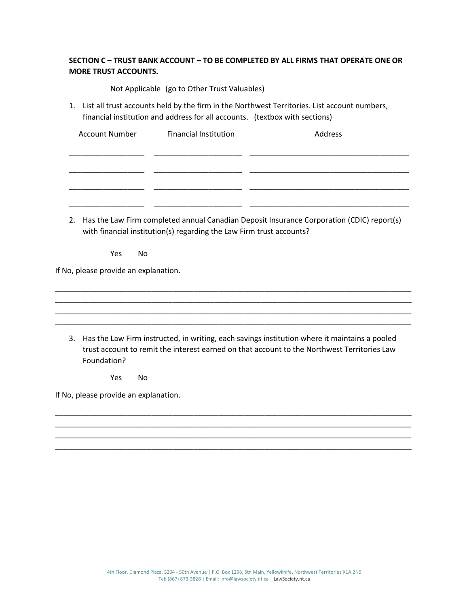# **SECTION C – TRUST BANK ACCOUNT – TO BE COMPLETED BY ALL FIRMS THAT OPERATE ONE OR MORE TRUST ACCOUNTS.**

Not Applicable (go to Other Trust Valuables)

1. List all trust accounts held by the firm in the Northwest Territories. List account numbers, financial institution and address for all accounts. (textbox with sections)

| <b>Account Number</b> | <b>Financial Institution</b> | Address |
|-----------------------|------------------------------|---------|
|                       |                              |         |
|                       |                              |         |
|                       |                              |         |
|                       |                              |         |
|                       |                              |         |
|                       |                              |         |

2. Has the Law Firm completed annual Canadian Deposit Insurance Corporation (CDIC) report(s) with financial institution(s) regarding the Law Firm trust accounts?

Yes No

If No, please provide an explanation.

3. Has the Law Firm instructed, in writing, each savings institution where it maintains a pooled trust account to remit the interest earned on that account to the Northwest Territories Law Foundation?

\_\_\_\_\_\_\_\_\_\_\_\_\_\_\_\_\_\_\_\_\_\_\_\_\_\_\_\_\_\_\_\_\_\_\_\_\_\_\_\_\_\_\_\_\_\_\_\_\_\_\_\_\_\_\_\_\_\_\_\_\_\_\_\_\_\_\_\_\_\_\_\_\_\_\_\_\_\_\_\_\_\_\_\_\_ \_\_\_\_\_\_\_\_\_\_\_\_\_\_\_\_\_\_\_\_\_\_\_\_\_\_\_\_\_\_\_\_\_\_\_\_\_\_\_\_\_\_\_\_\_\_\_\_\_\_\_\_\_\_\_\_\_\_\_\_\_\_\_\_\_\_\_\_\_\_\_\_\_\_\_\_\_\_\_\_\_\_\_\_\_ \_\_\_\_\_\_\_\_\_\_\_\_\_\_\_\_\_\_\_\_\_\_\_\_\_\_\_\_\_\_\_\_\_\_\_\_\_\_\_\_\_\_\_\_\_\_\_\_\_\_\_\_\_\_\_\_\_\_\_\_\_\_\_\_\_\_\_\_\_\_\_\_\_\_\_\_\_\_\_\_\_\_\_\_\_ \_\_\_\_\_\_\_\_\_\_\_\_\_\_\_\_\_\_\_\_\_\_\_\_\_\_\_\_\_\_\_\_\_\_\_\_\_\_\_\_\_\_\_\_\_\_\_\_\_\_\_\_\_\_\_\_\_\_\_\_\_\_\_\_\_\_\_\_\_\_\_\_\_\_\_\_\_\_\_\_\_\_\_\_\_

\_\_\_\_\_\_\_\_\_\_\_\_\_\_\_\_\_\_\_\_\_\_\_\_\_\_\_\_\_\_\_\_\_\_\_\_\_\_\_\_\_\_\_\_\_\_\_\_\_\_\_\_\_\_\_\_\_\_\_\_\_\_\_\_\_\_\_\_\_\_\_\_\_\_\_\_\_\_\_\_\_\_\_\_\_ \_\_\_\_\_\_\_\_\_\_\_\_\_\_\_\_\_\_\_\_\_\_\_\_\_\_\_\_\_\_\_\_\_\_\_\_\_\_\_\_\_\_\_\_\_\_\_\_\_\_\_\_\_\_\_\_\_\_\_\_\_\_\_\_\_\_\_\_\_\_\_\_\_\_\_\_\_\_\_\_\_\_\_\_\_ \_\_\_\_\_\_\_\_\_\_\_\_\_\_\_\_\_\_\_\_\_\_\_\_\_\_\_\_\_\_\_\_\_\_\_\_\_\_\_\_\_\_\_\_\_\_\_\_\_\_\_\_\_\_\_\_\_\_\_\_\_\_\_\_\_\_\_\_\_\_\_\_\_\_\_\_\_\_\_\_\_\_\_\_\_ \_\_\_\_\_\_\_\_\_\_\_\_\_\_\_\_\_\_\_\_\_\_\_\_\_\_\_\_\_\_\_\_\_\_\_\_\_\_\_\_\_\_\_\_\_\_\_\_\_\_\_\_\_\_\_\_\_\_\_\_\_\_\_\_\_\_\_\_\_\_\_\_\_\_\_\_\_\_\_\_\_\_\_\_\_

Yes No

If No, please provide an explanation.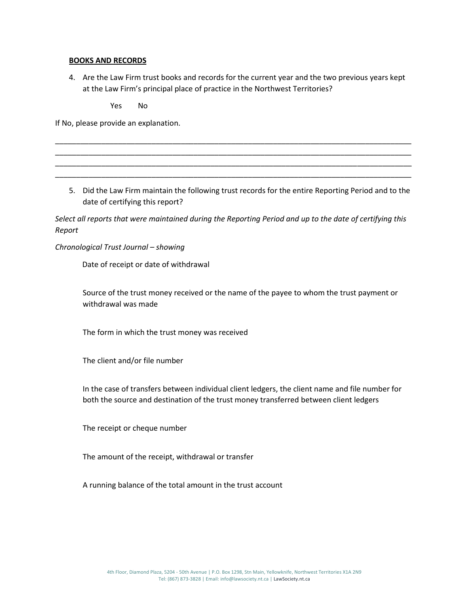# **BOOKS AND RECORDS**

4. Are the Law Firm trust books and records for the current year and the two previous years kept at the Law Firm's principal place of practice in the Northwest Territories?

\_\_\_\_\_\_\_\_\_\_\_\_\_\_\_\_\_\_\_\_\_\_\_\_\_\_\_\_\_\_\_\_\_\_\_\_\_\_\_\_\_\_\_\_\_\_\_\_\_\_\_\_\_\_\_\_\_\_\_\_\_\_\_\_\_\_\_\_\_\_\_\_\_\_\_\_\_\_\_\_\_\_\_\_\_ \_\_\_\_\_\_\_\_\_\_\_\_\_\_\_\_\_\_\_\_\_\_\_\_\_\_\_\_\_\_\_\_\_\_\_\_\_\_\_\_\_\_\_\_\_\_\_\_\_\_\_\_\_\_\_\_\_\_\_\_\_\_\_\_\_\_\_\_\_\_\_\_\_\_\_\_\_\_\_\_\_\_\_\_\_ \_\_\_\_\_\_\_\_\_\_\_\_\_\_\_\_\_\_\_\_\_\_\_\_\_\_\_\_\_\_\_\_\_\_\_\_\_\_\_\_\_\_\_\_\_\_\_\_\_\_\_\_\_\_\_\_\_\_\_\_\_\_\_\_\_\_\_\_\_\_\_\_\_\_\_\_\_\_\_\_\_\_\_\_\_ \_\_\_\_\_\_\_\_\_\_\_\_\_\_\_\_\_\_\_\_\_\_\_\_\_\_\_\_\_\_\_\_\_\_\_\_\_\_\_\_\_\_\_\_\_\_\_\_\_\_\_\_\_\_\_\_\_\_\_\_\_\_\_\_\_\_\_\_\_\_\_\_\_\_\_\_\_\_\_\_\_\_\_\_\_

Yes No

If No, please provide an explanation.

5. Did the Law Firm maintain the following trust records for the entire Reporting Period and to the date of certifying this report?

*Select all reports that were maintained during the Reporting Period and up to the date of certifying this Report*

*Chronological Trust Journal – showing*

Date of receipt or date of withdrawal

Source of the trust money received or the name of the payee to whom the trust payment or withdrawal was made

The form in which the trust money was received

The client and/or file number

In the case of transfers between individual client ledgers, the client name and file number for both the source and destination of the trust money transferred between client ledgers

The receipt or cheque number

The amount of the receipt, withdrawal or transfer

A running balance of the total amount in the trust account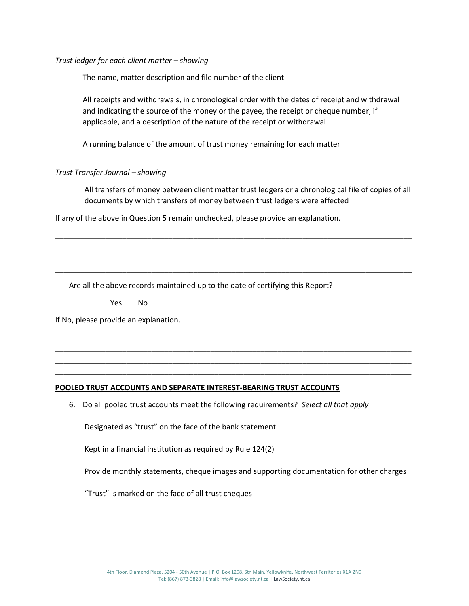*Trust ledger for each client matter – showing*

The name, matter description and file number of the client

All receipts and withdrawals, in chronological order with the dates of receipt and withdrawal and indicating the source of the money or the payee, the receipt or cheque number, if applicable, and a description of the nature of the receipt or withdrawal

A running balance of the amount of trust money remaining for each matter

# *Trust Transfer Journal – showing*

All transfers of money between client matter trust ledgers or a chronological file of copies of all documents by which transfers of money between trust ledgers were affected

\_\_\_\_\_\_\_\_\_\_\_\_\_\_\_\_\_\_\_\_\_\_\_\_\_\_\_\_\_\_\_\_\_\_\_\_\_\_\_\_\_\_\_\_\_\_\_\_\_\_\_\_\_\_\_\_\_\_\_\_\_\_\_\_\_\_\_\_\_\_\_\_\_\_\_\_\_\_\_\_\_\_\_\_\_ \_\_\_\_\_\_\_\_\_\_\_\_\_\_\_\_\_\_\_\_\_\_\_\_\_\_\_\_\_\_\_\_\_\_\_\_\_\_\_\_\_\_\_\_\_\_\_\_\_\_\_\_\_\_\_\_\_\_\_\_\_\_\_\_\_\_\_\_\_\_\_\_\_\_\_\_\_\_\_\_\_\_\_\_\_ \_\_\_\_\_\_\_\_\_\_\_\_\_\_\_\_\_\_\_\_\_\_\_\_\_\_\_\_\_\_\_\_\_\_\_\_\_\_\_\_\_\_\_\_\_\_\_\_\_\_\_\_\_\_\_\_\_\_\_\_\_\_\_\_\_\_\_\_\_\_\_\_\_\_\_\_\_\_\_\_\_\_\_\_\_ \_\_\_\_\_\_\_\_\_\_\_\_\_\_\_\_\_\_\_\_\_\_\_\_\_\_\_\_\_\_\_\_\_\_\_\_\_\_\_\_\_\_\_\_\_\_\_\_\_\_\_\_\_\_\_\_\_\_\_\_\_\_\_\_\_\_\_\_\_\_\_\_\_\_\_\_\_\_\_\_\_\_\_\_\_

\_\_\_\_\_\_\_\_\_\_\_\_\_\_\_\_\_\_\_\_\_\_\_\_\_\_\_\_\_\_\_\_\_\_\_\_\_\_\_\_\_\_\_\_\_\_\_\_\_\_\_\_\_\_\_\_\_\_\_\_\_\_\_\_\_\_\_\_\_\_\_\_\_\_\_\_\_\_\_\_\_\_\_\_\_ \_\_\_\_\_\_\_\_\_\_\_\_\_\_\_\_\_\_\_\_\_\_\_\_\_\_\_\_\_\_\_\_\_\_\_\_\_\_\_\_\_\_\_\_\_\_\_\_\_\_\_\_\_\_\_\_\_\_\_\_\_\_\_\_\_\_\_\_\_\_\_\_\_\_\_\_\_\_\_\_\_\_\_\_\_ \_\_\_\_\_\_\_\_\_\_\_\_\_\_\_\_\_\_\_\_\_\_\_\_\_\_\_\_\_\_\_\_\_\_\_\_\_\_\_\_\_\_\_\_\_\_\_\_\_\_\_\_\_\_\_\_\_\_\_\_\_\_\_\_\_\_\_\_\_\_\_\_\_\_\_\_\_\_\_\_\_\_\_\_\_ \_\_\_\_\_\_\_\_\_\_\_\_\_\_\_\_\_\_\_\_\_\_\_\_\_\_\_\_\_\_\_\_\_\_\_\_\_\_\_\_\_\_\_\_\_\_\_\_\_\_\_\_\_\_\_\_\_\_\_\_\_\_\_\_\_\_\_\_\_\_\_\_\_\_\_\_\_\_\_\_\_\_\_\_\_

If any of the above in Question 5 remain unchecked, please provide an explanation.

Are all the above records maintained up to the date of certifying this Report?

Yes No

If No, please provide an explanation.

#### **POOLED TRUST ACCOUNTS AND SEPARATE INTEREST-BEARING TRUST ACCOUNTS**

6. Do all pooled trust accounts meet the following requirements? *Select all that apply*

Designated as "trust" on the face of the bank statement

Kept in a financial institution as required by Rule 124(2)

Provide monthly statements, cheque images and supporting documentation for other charges

"Trust" is marked on the face of all trust cheques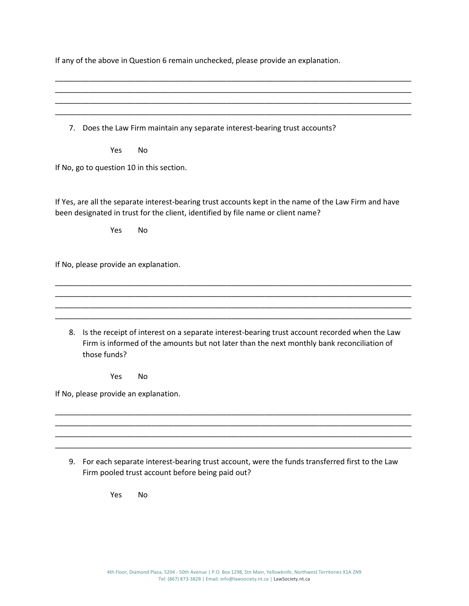| If any of the above in Question 6 remain unchecked, please provide an explanation. |  |  |  |  |  |  |  |  |
|------------------------------------------------------------------------------------|--|--|--|--|--|--|--|--|
|------------------------------------------------------------------------------------|--|--|--|--|--|--|--|--|

\_\_\_\_\_\_\_\_\_\_\_\_\_\_\_\_\_\_\_\_\_\_\_\_\_\_\_\_\_\_\_\_\_\_\_\_\_\_\_\_\_\_\_\_\_\_\_\_\_\_\_\_\_\_\_\_\_\_\_\_\_\_\_\_\_\_\_\_\_\_\_\_\_\_\_\_\_\_\_\_\_\_\_\_\_ \_\_\_\_\_\_\_\_\_\_\_\_\_\_\_\_\_\_\_\_\_\_\_\_\_\_\_\_\_\_\_\_\_\_\_\_\_\_\_\_\_\_\_\_\_\_\_\_\_\_\_\_\_\_\_\_\_\_\_\_\_\_\_\_\_\_\_\_\_\_\_\_\_\_\_\_\_\_\_\_\_\_\_\_\_

\_\_\_\_\_\_\_\_\_\_\_\_\_\_\_\_\_\_\_\_\_\_\_\_\_\_\_\_\_\_\_\_\_\_\_\_\_\_\_\_\_\_\_\_\_\_\_\_\_\_\_\_\_\_\_\_\_\_\_\_\_\_\_\_\_\_\_\_\_\_\_\_\_\_\_\_\_\_\_\_\_\_\_\_\_ \_\_\_\_\_\_\_\_\_\_\_\_\_\_\_\_\_\_\_\_\_\_\_\_\_\_\_\_\_\_\_\_\_\_\_\_\_\_\_\_\_\_\_\_\_\_\_\_\_\_\_\_\_\_\_\_\_\_\_\_\_\_\_\_\_\_\_\_\_\_\_\_\_\_\_\_\_\_\_\_\_\_\_\_\_ 7. Does the Law Firm maintain any separate interest-bearing trust accounts? Yes No If No, go to question 10 in this section. If Yes, are all the separate interest-bearing trust accounts kept in the name of the Law Firm and have been designated in trust for the client, identified by file name or client name? Yes No If No, please provide an explanation. \_\_\_\_\_\_\_\_\_\_\_\_\_\_\_\_\_\_\_\_\_\_\_\_\_\_\_\_\_\_\_\_\_\_\_\_\_\_\_\_\_\_\_\_\_\_\_\_\_\_\_\_\_\_\_\_\_\_\_\_\_\_\_\_\_\_\_\_\_\_\_\_\_\_\_\_\_\_\_\_\_\_\_\_\_ \_\_\_\_\_\_\_\_\_\_\_\_\_\_\_\_\_\_\_\_\_\_\_\_\_\_\_\_\_\_\_\_\_\_\_\_\_\_\_\_\_\_\_\_\_\_\_\_\_\_\_\_\_\_\_\_\_\_\_\_\_\_\_\_\_\_\_\_\_\_\_\_\_\_\_\_\_\_\_\_\_\_\_\_\_ \_\_\_\_\_\_\_\_\_\_\_\_\_\_\_\_\_\_\_\_\_\_\_\_\_\_\_\_\_\_\_\_\_\_\_\_\_\_\_\_\_\_\_\_\_\_\_\_\_\_\_\_\_\_\_\_\_\_\_\_\_\_\_\_\_\_\_\_\_\_\_\_\_\_\_\_\_\_\_\_\_\_\_\_\_ \_\_\_\_\_\_\_\_\_\_\_\_\_\_\_\_\_\_\_\_\_\_\_\_\_\_\_\_\_\_\_\_\_\_\_\_\_\_\_\_\_\_\_\_\_\_\_\_\_\_\_\_\_\_\_\_\_\_\_\_\_\_\_\_\_\_\_\_\_\_\_\_\_\_\_\_\_\_\_\_\_\_\_\_\_ 8. Is the receipt of interest on a separate interest-bearing trust account recorded when the Law Firm is informed of the amounts but not later than the next monthly bank reconciliation of those funds? Yes No If No, please provide an explanation. \_\_\_\_\_\_\_\_\_\_\_\_\_\_\_\_\_\_\_\_\_\_\_\_\_\_\_\_\_\_\_\_\_\_\_\_\_\_\_\_\_\_\_\_\_\_\_\_\_\_\_\_\_\_\_\_\_\_\_\_\_\_\_\_\_\_\_\_\_\_\_\_\_\_\_\_\_\_\_\_\_\_\_\_\_ \_\_\_\_\_\_\_\_\_\_\_\_\_\_\_\_\_\_\_\_\_\_\_\_\_\_\_\_\_\_\_\_\_\_\_\_\_\_\_\_\_\_\_\_\_\_\_\_\_\_\_\_\_\_\_\_\_\_\_\_\_\_\_\_\_\_\_\_\_\_\_\_\_\_\_\_\_\_\_\_\_\_\_\_\_ \_\_\_\_\_\_\_\_\_\_\_\_\_\_\_\_\_\_\_\_\_\_\_\_\_\_\_\_\_\_\_\_\_\_\_\_\_\_\_\_\_\_\_\_\_\_\_\_\_\_\_\_\_\_\_\_\_\_\_\_\_\_\_\_\_\_\_\_\_\_\_\_\_\_\_\_\_\_\_\_\_\_\_\_\_ \_\_\_\_\_\_\_\_\_\_\_\_\_\_\_\_\_\_\_\_\_\_\_\_\_\_\_\_\_\_\_\_\_\_\_\_\_\_\_\_\_\_\_\_\_\_\_\_\_\_\_\_\_\_\_\_\_\_\_\_\_\_\_\_\_\_\_\_\_\_\_\_\_\_\_\_\_\_\_\_\_\_\_\_\_

9. For each separate interest-bearing trust account, were the funds transferred first to the Law Firm pooled trust account before being paid out?

Yes No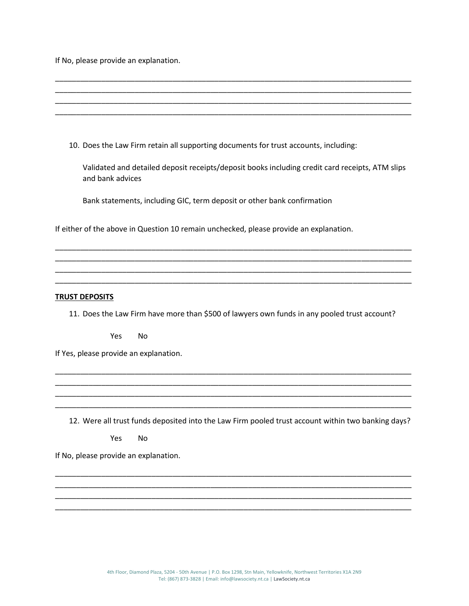If No, please provide an explanation.

| 10. Does the Law Firm retain all supporting documents for trust accounts, including:                                |
|---------------------------------------------------------------------------------------------------------------------|
| Validated and detailed deposit receipts/deposit books including credit card receipts, ATM slips<br>and bank advices |
| Bank statements, including GIC, term deposit or other bank confirmation                                             |
| If either of the above in Question 10 remain unchecked, please provide an explanation.                              |
|                                                                                                                     |
|                                                                                                                     |
|                                                                                                                     |
| <b>TRUST DEPOSITS</b>                                                                                               |
| 11. Does the Law Firm have more than \$500 of lawyers own funds in any pooled trust account?                        |
| Yes<br><b>No</b>                                                                                                    |
| If Yes, please provide an explanation.                                                                              |
|                                                                                                                     |
|                                                                                                                     |

12. Were all trust funds deposited into the Law Firm pooled trust account within two banking days?

\_\_\_\_\_\_\_\_\_\_\_\_\_\_\_\_\_\_\_\_\_\_\_\_\_\_\_\_\_\_\_\_\_\_\_\_\_\_\_\_\_\_\_\_\_\_\_\_\_\_\_\_\_\_\_\_\_\_\_\_\_\_\_\_\_\_\_\_\_\_\_\_\_\_\_\_\_\_\_\_\_\_\_\_\_ \_\_\_\_\_\_\_\_\_\_\_\_\_\_\_\_\_\_\_\_\_\_\_\_\_\_\_\_\_\_\_\_\_\_\_\_\_\_\_\_\_\_\_\_\_\_\_\_\_\_\_\_\_\_\_\_\_\_\_\_\_\_\_\_\_\_\_\_\_\_\_\_\_\_\_\_\_\_\_\_\_\_\_\_\_

\_\_\_\_\_\_\_\_\_\_\_\_\_\_\_\_\_\_\_\_\_\_\_\_\_\_\_\_\_\_\_\_\_\_\_\_\_\_\_\_\_\_\_\_\_\_\_\_\_\_\_\_\_\_\_\_\_\_\_\_\_\_\_\_\_\_\_\_\_\_\_\_\_\_\_\_\_\_\_\_\_\_\_\_\_ \_\_\_\_\_\_\_\_\_\_\_\_\_\_\_\_\_\_\_\_\_\_\_\_\_\_\_\_\_\_\_\_\_\_\_\_\_\_\_\_\_\_\_\_\_\_\_\_\_\_\_\_\_\_\_\_\_\_\_\_\_\_\_\_\_\_\_\_\_\_\_\_\_\_\_\_\_\_\_\_\_\_\_\_\_ \_\_\_\_\_\_\_\_\_\_\_\_\_\_\_\_\_\_\_\_\_\_\_\_\_\_\_\_\_\_\_\_\_\_\_\_\_\_\_\_\_\_\_\_\_\_\_\_\_\_\_\_\_\_\_\_\_\_\_\_\_\_\_\_\_\_\_\_\_\_\_\_\_\_\_\_\_\_\_\_\_\_\_\_\_ \_\_\_\_\_\_\_\_\_\_\_\_\_\_\_\_\_\_\_\_\_\_\_\_\_\_\_\_\_\_\_\_\_\_\_\_\_\_\_\_\_\_\_\_\_\_\_\_\_\_\_\_\_\_\_\_\_\_\_\_\_\_\_\_\_\_\_\_\_\_\_\_\_\_\_\_\_\_\_\_\_\_\_\_\_

Yes No

If No, please provide an explanation.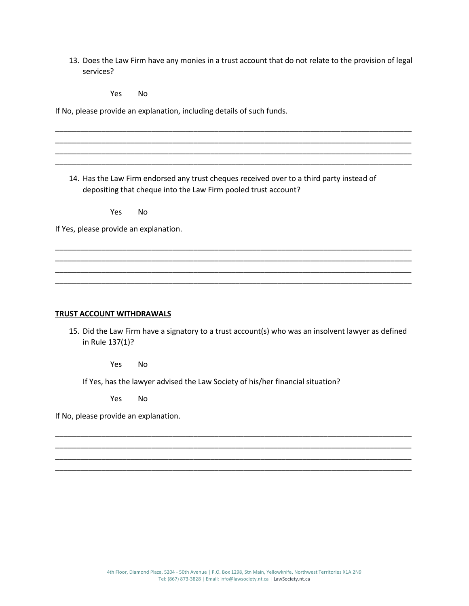13. Does the Law Firm have any monies in a trust account that do not relate to the provision of legal services?

\_\_\_\_\_\_\_\_\_\_\_\_\_\_\_\_\_\_\_\_\_\_\_\_\_\_\_\_\_\_\_\_\_\_\_\_\_\_\_\_\_\_\_\_\_\_\_\_\_\_\_\_\_\_\_\_\_\_\_\_\_\_\_\_\_\_\_\_\_\_\_\_\_\_\_\_\_\_\_\_\_\_\_\_\_ \_\_\_\_\_\_\_\_\_\_\_\_\_\_\_\_\_\_\_\_\_\_\_\_\_\_\_\_\_\_\_\_\_\_\_\_\_\_\_\_\_\_\_\_\_\_\_\_\_\_\_\_\_\_\_\_\_\_\_\_\_\_\_\_\_\_\_\_\_\_\_\_\_\_\_\_\_\_\_\_\_\_\_\_\_ \_\_\_\_\_\_\_\_\_\_\_\_\_\_\_\_\_\_\_\_\_\_\_\_\_\_\_\_\_\_\_\_\_\_\_\_\_\_\_\_\_\_\_\_\_\_\_\_\_\_\_\_\_\_\_\_\_\_\_\_\_\_\_\_\_\_\_\_\_\_\_\_\_\_\_\_\_\_\_\_\_\_\_\_\_ \_\_\_\_\_\_\_\_\_\_\_\_\_\_\_\_\_\_\_\_\_\_\_\_\_\_\_\_\_\_\_\_\_\_\_\_\_\_\_\_\_\_\_\_\_\_\_\_\_\_\_\_\_\_\_\_\_\_\_\_\_\_\_\_\_\_\_\_\_\_\_\_\_\_\_\_\_\_\_\_\_\_\_\_\_

Yes No

If No, please provide an explanation, including details of such funds.

14. Has the Law Firm endorsed any trust cheques received over to a third party instead of depositing that cheque into the Law Firm pooled trust account?

\_\_\_\_\_\_\_\_\_\_\_\_\_\_\_\_\_\_\_\_\_\_\_\_\_\_\_\_\_\_\_\_\_\_\_\_\_\_\_\_\_\_\_\_\_\_\_\_\_\_\_\_\_\_\_\_\_\_\_\_\_\_\_\_\_\_\_\_\_\_\_\_\_\_\_\_\_\_\_\_\_\_\_\_\_ \_\_\_\_\_\_\_\_\_\_\_\_\_\_\_\_\_\_\_\_\_\_\_\_\_\_\_\_\_\_\_\_\_\_\_\_\_\_\_\_\_\_\_\_\_\_\_\_\_\_\_\_\_\_\_\_\_\_\_\_\_\_\_\_\_\_\_\_\_\_\_\_\_\_\_\_\_\_\_\_\_\_\_\_\_ \_\_\_\_\_\_\_\_\_\_\_\_\_\_\_\_\_\_\_\_\_\_\_\_\_\_\_\_\_\_\_\_\_\_\_\_\_\_\_\_\_\_\_\_\_\_\_\_\_\_\_\_\_\_\_\_\_\_\_\_\_\_\_\_\_\_\_\_\_\_\_\_\_\_\_\_\_\_\_\_\_\_\_\_\_ \_\_\_\_\_\_\_\_\_\_\_\_\_\_\_\_\_\_\_\_\_\_\_\_\_\_\_\_\_\_\_\_\_\_\_\_\_\_\_\_\_\_\_\_\_\_\_\_\_\_\_\_\_\_\_\_\_\_\_\_\_\_\_\_\_\_\_\_\_\_\_\_\_\_\_\_\_\_\_\_\_\_\_\_\_

Yes No

If Yes, please provide an explanation.

#### **TRUST ACCOUNT WITHDRAWALS**

15. Did the Law Firm have a signatory to a trust account(s) who was an insolvent lawyer as defined in Rule 137(1)?

\_\_\_\_\_\_\_\_\_\_\_\_\_\_\_\_\_\_\_\_\_\_\_\_\_\_\_\_\_\_\_\_\_\_\_\_\_\_\_\_\_\_\_\_\_\_\_\_\_\_\_\_\_\_\_\_\_\_\_\_\_\_\_\_\_\_\_\_\_\_\_\_\_\_\_\_\_\_\_\_\_\_\_\_\_ \_\_\_\_\_\_\_\_\_\_\_\_\_\_\_\_\_\_\_\_\_\_\_\_\_\_\_\_\_\_\_\_\_\_\_\_\_\_\_\_\_\_\_\_\_\_\_\_\_\_\_\_\_\_\_\_\_\_\_\_\_\_\_\_\_\_\_\_\_\_\_\_\_\_\_\_\_\_\_\_\_\_\_\_\_ \_\_\_\_\_\_\_\_\_\_\_\_\_\_\_\_\_\_\_\_\_\_\_\_\_\_\_\_\_\_\_\_\_\_\_\_\_\_\_\_\_\_\_\_\_\_\_\_\_\_\_\_\_\_\_\_\_\_\_\_\_\_\_\_\_\_\_\_\_\_\_\_\_\_\_\_\_\_\_\_\_\_\_\_\_ \_\_\_\_\_\_\_\_\_\_\_\_\_\_\_\_\_\_\_\_\_\_\_\_\_\_\_\_\_\_\_\_\_\_\_\_\_\_\_\_\_\_\_\_\_\_\_\_\_\_\_\_\_\_\_\_\_\_\_\_\_\_\_\_\_\_\_\_\_\_\_\_\_\_\_\_\_\_\_\_\_\_\_\_\_

Yes No

If Yes, has the lawyer advised the Law Society of his/her financial situation?

Yes No

If No, please provide an explanation.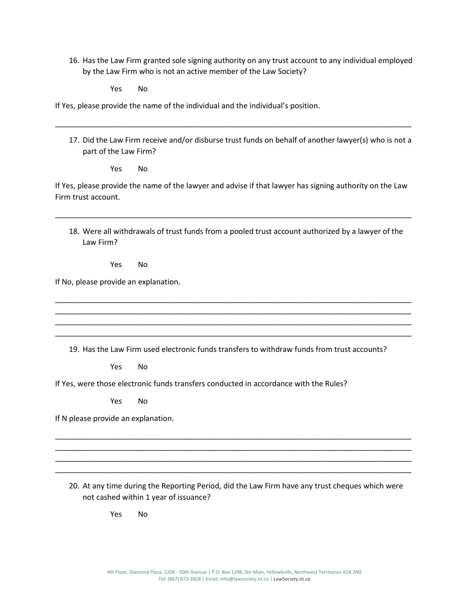16. Has the Law Firm granted sole signing authority on any trust account to any individual employed by the Law Firm who is not an active member of the Law Society?

Yes No

If Yes, please provide the name of the individual and the individual's position.

17. Did the Law Firm receive and/or disburse trust funds on behalf of another lawyer(s) who is not a part of the Law Firm?

\_\_\_\_\_\_\_\_\_\_\_\_\_\_\_\_\_\_\_\_\_\_\_\_\_\_\_\_\_\_\_\_\_\_\_\_\_\_\_\_\_\_\_\_\_\_\_\_\_\_\_\_\_\_\_\_\_\_\_\_\_\_\_\_\_\_\_\_\_\_\_\_\_\_\_\_\_\_\_\_\_\_\_\_\_

Yes No

If Yes, please provide the name of the lawyer and advise if that lawyer has signing authority on the Law Firm trust account.

\_\_\_\_\_\_\_\_\_\_\_\_\_\_\_\_\_\_\_\_\_\_\_\_\_\_\_\_\_\_\_\_\_\_\_\_\_\_\_\_\_\_\_\_\_\_\_\_\_\_\_\_\_\_\_\_\_\_\_\_\_\_\_\_\_\_\_\_\_\_\_\_\_\_\_\_\_\_\_\_\_\_\_\_\_

18. Were all withdrawals of trust funds from a pooled trust account authorized by a lawyer of the Law Firm?

Yes No

If No, please provide an explanation.

19. Has the Law Firm used electronic funds transfers to withdraw funds from trust accounts?

\_\_\_\_\_\_\_\_\_\_\_\_\_\_\_\_\_\_\_\_\_\_\_\_\_\_\_\_\_\_\_\_\_\_\_\_\_\_\_\_\_\_\_\_\_\_\_\_\_\_\_\_\_\_\_\_\_\_\_\_\_\_\_\_\_\_\_\_\_\_\_\_\_\_\_\_\_\_\_\_\_\_\_\_\_ \_\_\_\_\_\_\_\_\_\_\_\_\_\_\_\_\_\_\_\_\_\_\_\_\_\_\_\_\_\_\_\_\_\_\_\_\_\_\_\_\_\_\_\_\_\_\_\_\_\_\_\_\_\_\_\_\_\_\_\_\_\_\_\_\_\_\_\_\_\_\_\_\_\_\_\_\_\_\_\_\_\_\_\_\_ \_\_\_\_\_\_\_\_\_\_\_\_\_\_\_\_\_\_\_\_\_\_\_\_\_\_\_\_\_\_\_\_\_\_\_\_\_\_\_\_\_\_\_\_\_\_\_\_\_\_\_\_\_\_\_\_\_\_\_\_\_\_\_\_\_\_\_\_\_\_\_\_\_\_\_\_\_\_\_\_\_\_\_\_\_ \_\_\_\_\_\_\_\_\_\_\_\_\_\_\_\_\_\_\_\_\_\_\_\_\_\_\_\_\_\_\_\_\_\_\_\_\_\_\_\_\_\_\_\_\_\_\_\_\_\_\_\_\_\_\_\_\_\_\_\_\_\_\_\_\_\_\_\_\_\_\_\_\_\_\_\_\_\_\_\_\_\_\_\_\_

Yes No

If Yes, were those electronic funds transfers conducted in accordance with the Rules?

Yes No

If N please provide an explanation.

20. At any time during the Reporting Period, did the Law Firm have any trust cheques which were not cashed within 1 year of issuance?

\_\_\_\_\_\_\_\_\_\_\_\_\_\_\_\_\_\_\_\_\_\_\_\_\_\_\_\_\_\_\_\_\_\_\_\_\_\_\_\_\_\_\_\_\_\_\_\_\_\_\_\_\_\_\_\_\_\_\_\_\_\_\_\_\_\_\_\_\_\_\_\_\_\_\_\_\_\_\_\_\_\_\_\_\_ \_\_\_\_\_\_\_\_\_\_\_\_\_\_\_\_\_\_\_\_\_\_\_\_\_\_\_\_\_\_\_\_\_\_\_\_\_\_\_\_\_\_\_\_\_\_\_\_\_\_\_\_\_\_\_\_\_\_\_\_\_\_\_\_\_\_\_\_\_\_\_\_\_\_\_\_\_\_\_\_\_\_\_\_\_ \_\_\_\_\_\_\_\_\_\_\_\_\_\_\_\_\_\_\_\_\_\_\_\_\_\_\_\_\_\_\_\_\_\_\_\_\_\_\_\_\_\_\_\_\_\_\_\_\_\_\_\_\_\_\_\_\_\_\_\_\_\_\_\_\_\_\_\_\_\_\_\_\_\_\_\_\_\_\_\_\_\_\_\_\_ \_\_\_\_\_\_\_\_\_\_\_\_\_\_\_\_\_\_\_\_\_\_\_\_\_\_\_\_\_\_\_\_\_\_\_\_\_\_\_\_\_\_\_\_\_\_\_\_\_\_\_\_\_\_\_\_\_\_\_\_\_\_\_\_\_\_\_\_\_\_\_\_\_\_\_\_\_\_\_\_\_\_\_\_\_

Yes No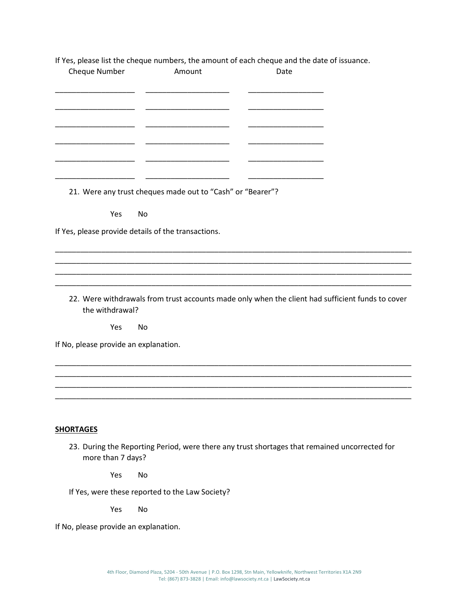| If Yes, please list the cheque numbers, the amount of each cheque and the date of issuance. |  |  |
|---------------------------------------------------------------------------------------------|--|--|
|                                                                                             |  |  |

| Cheque Number                         | Amount                                                                                           | Date |  |
|---------------------------------------|--------------------------------------------------------------------------------------------------|------|--|
|                                       |                                                                                                  |      |  |
|                                       |                                                                                                  |      |  |
|                                       |                                                                                                  |      |  |
|                                       |                                                                                                  |      |  |
|                                       | 21. Were any trust cheques made out to "Cash" or "Bearer"?                                       |      |  |
| Yes                                   | No                                                                                               |      |  |
|                                       | If Yes, please provide details of the transactions.                                              |      |  |
|                                       |                                                                                                  |      |  |
|                                       |                                                                                                  |      |  |
| the withdrawal?                       | 22. Were withdrawals from trust accounts made only when the client had sufficient funds to cover |      |  |
| Yes                                   | No                                                                                               |      |  |
| If No, please provide an explanation. |                                                                                                  |      |  |
|                                       |                                                                                                  |      |  |
|                                       |                                                                                                  |      |  |
|                                       |                                                                                                  |      |  |
| <b>SHORTAGES</b>                      |                                                                                                  |      |  |
| more than 7 days?                     | 23. During the Reporting Period, were there any trust shortages that remained uncorrected for    |      |  |
| Yes                                   | No                                                                                               |      |  |
|                                       | If Yes, were these reported to the Law Society?                                                  |      |  |
| Yes                                   | No                                                                                               |      |  |

If No, please provide an explanation.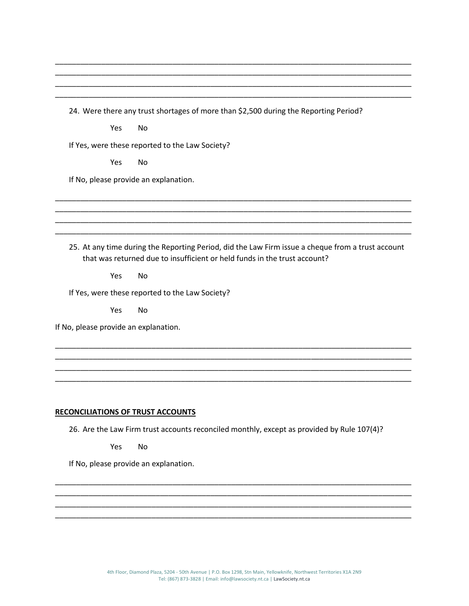24. Were there any trust shortages of more than \$2,500 during the Reporting Period?

\_\_\_\_\_\_\_\_\_\_\_\_\_\_\_\_\_\_\_\_\_\_\_\_\_\_\_\_\_\_\_\_\_\_\_\_\_\_\_\_\_\_\_\_\_\_\_\_\_\_\_\_\_\_\_\_\_\_\_\_\_\_\_\_\_\_\_\_\_\_\_\_\_\_\_\_\_\_\_\_\_\_\_\_\_ \_\_\_\_\_\_\_\_\_\_\_\_\_\_\_\_\_\_\_\_\_\_\_\_\_\_\_\_\_\_\_\_\_\_\_\_\_\_\_\_\_\_\_\_\_\_\_\_\_\_\_\_\_\_\_\_\_\_\_\_\_\_\_\_\_\_\_\_\_\_\_\_\_\_\_\_\_\_\_\_\_\_\_\_\_ \_\_\_\_\_\_\_\_\_\_\_\_\_\_\_\_\_\_\_\_\_\_\_\_\_\_\_\_\_\_\_\_\_\_\_\_\_\_\_\_\_\_\_\_\_\_\_\_\_\_\_\_\_\_\_\_\_\_\_\_\_\_\_\_\_\_\_\_\_\_\_\_\_\_\_\_\_\_\_\_\_\_\_\_\_ \_\_\_\_\_\_\_\_\_\_\_\_\_\_\_\_\_\_\_\_\_\_\_\_\_\_\_\_\_\_\_\_\_\_\_\_\_\_\_\_\_\_\_\_\_\_\_\_\_\_\_\_\_\_\_\_\_\_\_\_\_\_\_\_\_\_\_\_\_\_\_\_\_\_\_\_\_\_\_\_\_\_\_\_\_

Yes No

If Yes, were these reported to the Law Society?

Yes No

If No, please provide an explanation.

25. At any time during the Reporting Period, did the Law Firm issue a cheque from a trust account that was returned due to insufficient or held funds in the trust account?

\_\_\_\_\_\_\_\_\_\_\_\_\_\_\_\_\_\_\_\_\_\_\_\_\_\_\_\_\_\_\_\_\_\_\_\_\_\_\_\_\_\_\_\_\_\_\_\_\_\_\_\_\_\_\_\_\_\_\_\_\_\_\_\_\_\_\_\_\_\_\_\_\_\_\_\_\_\_\_\_\_\_\_\_\_ \_\_\_\_\_\_\_\_\_\_\_\_\_\_\_\_\_\_\_\_\_\_\_\_\_\_\_\_\_\_\_\_\_\_\_\_\_\_\_\_\_\_\_\_\_\_\_\_\_\_\_\_\_\_\_\_\_\_\_\_\_\_\_\_\_\_\_\_\_\_\_\_\_\_\_\_\_\_\_\_\_\_\_\_\_ \_\_\_\_\_\_\_\_\_\_\_\_\_\_\_\_\_\_\_\_\_\_\_\_\_\_\_\_\_\_\_\_\_\_\_\_\_\_\_\_\_\_\_\_\_\_\_\_\_\_\_\_\_\_\_\_\_\_\_\_\_\_\_\_\_\_\_\_\_\_\_\_\_\_\_\_\_\_\_\_\_\_\_\_\_ \_\_\_\_\_\_\_\_\_\_\_\_\_\_\_\_\_\_\_\_\_\_\_\_\_\_\_\_\_\_\_\_\_\_\_\_\_\_\_\_\_\_\_\_\_\_\_\_\_\_\_\_\_\_\_\_\_\_\_\_\_\_\_\_\_\_\_\_\_\_\_\_\_\_\_\_\_\_\_\_\_\_\_\_\_

\_\_\_\_\_\_\_\_\_\_\_\_\_\_\_\_\_\_\_\_\_\_\_\_\_\_\_\_\_\_\_\_\_\_\_\_\_\_\_\_\_\_\_\_\_\_\_\_\_\_\_\_\_\_\_\_\_\_\_\_\_\_\_\_\_\_\_\_\_\_\_\_\_\_\_\_\_\_\_\_\_\_\_\_\_ \_\_\_\_\_\_\_\_\_\_\_\_\_\_\_\_\_\_\_\_\_\_\_\_\_\_\_\_\_\_\_\_\_\_\_\_\_\_\_\_\_\_\_\_\_\_\_\_\_\_\_\_\_\_\_\_\_\_\_\_\_\_\_\_\_\_\_\_\_\_\_\_\_\_\_\_\_\_\_\_\_\_\_\_\_ \_\_\_\_\_\_\_\_\_\_\_\_\_\_\_\_\_\_\_\_\_\_\_\_\_\_\_\_\_\_\_\_\_\_\_\_\_\_\_\_\_\_\_\_\_\_\_\_\_\_\_\_\_\_\_\_\_\_\_\_\_\_\_\_\_\_\_\_\_\_\_\_\_\_\_\_\_\_\_\_\_\_\_\_\_ \_\_\_\_\_\_\_\_\_\_\_\_\_\_\_\_\_\_\_\_\_\_\_\_\_\_\_\_\_\_\_\_\_\_\_\_\_\_\_\_\_\_\_\_\_\_\_\_\_\_\_\_\_\_\_\_\_\_\_\_\_\_\_\_\_\_\_\_\_\_\_\_\_\_\_\_\_\_\_\_\_\_\_\_\_

Yes No

If Yes, were these reported to the Law Society?

Yes No

If No, please provide an explanation.

#### **RECONCILIATIONS OF TRUST ACCOUNTS**

26. Are the Law Firm trust accounts reconciled monthly, except as provided by Rule 107(4)?

\_\_\_\_\_\_\_\_\_\_\_\_\_\_\_\_\_\_\_\_\_\_\_\_\_\_\_\_\_\_\_\_\_\_\_\_\_\_\_\_\_\_\_\_\_\_\_\_\_\_\_\_\_\_\_\_\_\_\_\_\_\_\_\_\_\_\_\_\_\_\_\_\_\_\_\_\_\_\_\_\_\_\_\_\_ \_\_\_\_\_\_\_\_\_\_\_\_\_\_\_\_\_\_\_\_\_\_\_\_\_\_\_\_\_\_\_\_\_\_\_\_\_\_\_\_\_\_\_\_\_\_\_\_\_\_\_\_\_\_\_\_\_\_\_\_\_\_\_\_\_\_\_\_\_\_\_\_\_\_\_\_\_\_\_\_\_\_\_\_\_ \_\_\_\_\_\_\_\_\_\_\_\_\_\_\_\_\_\_\_\_\_\_\_\_\_\_\_\_\_\_\_\_\_\_\_\_\_\_\_\_\_\_\_\_\_\_\_\_\_\_\_\_\_\_\_\_\_\_\_\_\_\_\_\_\_\_\_\_\_\_\_\_\_\_\_\_\_\_\_\_\_\_\_\_\_ \_\_\_\_\_\_\_\_\_\_\_\_\_\_\_\_\_\_\_\_\_\_\_\_\_\_\_\_\_\_\_\_\_\_\_\_\_\_\_\_\_\_\_\_\_\_\_\_\_\_\_\_\_\_\_\_\_\_\_\_\_\_\_\_\_\_\_\_\_\_\_\_\_\_\_\_\_\_\_\_\_\_\_\_\_

Yes No

If No, please provide an explanation.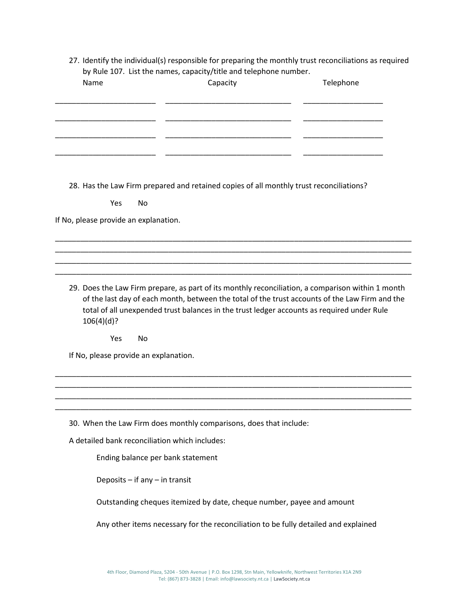27. Identify the individual(s) responsible for preparing the monthly trust reconciliations as required by Rule 107. List the names, capacity/title and telephone number.

| Name                                           | by nule 107. Else the hannes, capacity/title and telephone number.<br>Capacity                                                                                                                                                                                                                    | Telephone |
|------------------------------------------------|---------------------------------------------------------------------------------------------------------------------------------------------------------------------------------------------------------------------------------------------------------------------------------------------------|-----------|
|                                                |                                                                                                                                                                                                                                                                                                   |           |
|                                                |                                                                                                                                                                                                                                                                                                   |           |
|                                                |                                                                                                                                                                                                                                                                                                   |           |
|                                                |                                                                                                                                                                                                                                                                                                   |           |
|                                                | 28. Has the Law Firm prepared and retained copies of all monthly trust reconciliations?                                                                                                                                                                                                           |           |
| Yes<br>No                                      |                                                                                                                                                                                                                                                                                                   |           |
| If No, please provide an explanation.          |                                                                                                                                                                                                                                                                                                   |           |
|                                                |                                                                                                                                                                                                                                                                                                   |           |
|                                                |                                                                                                                                                                                                                                                                                                   |           |
|                                                |                                                                                                                                                                                                                                                                                                   |           |
| 106(4)(d)?                                     | 29. Does the Law Firm prepare, as part of its monthly reconciliation, a comparison within 1 month<br>of the last day of each month, between the total of the trust accounts of the Law Firm and the<br>total of all unexpended trust balances in the trust ledger accounts as required under Rule |           |
| Yes<br>No                                      |                                                                                                                                                                                                                                                                                                   |           |
| If No, please provide an explanation.          |                                                                                                                                                                                                                                                                                                   |           |
|                                                |                                                                                                                                                                                                                                                                                                   |           |
|                                                |                                                                                                                                                                                                                                                                                                   |           |
|                                                | 30. When the Law Firm does monthly comparisons, does that include:                                                                                                                                                                                                                                |           |
| A detailed bank reconciliation which includes: |                                                                                                                                                                                                                                                                                                   |           |
| Ending balance per bank statement              |                                                                                                                                                                                                                                                                                                   |           |
| Deposits $-$ if any $-$ in transit             |                                                                                                                                                                                                                                                                                                   |           |
|                                                | Outstanding cheques itemized by date, cheque number, payee and amount                                                                                                                                                                                                                             |           |

Any other items necessary for the reconciliation to be fully detailed and explained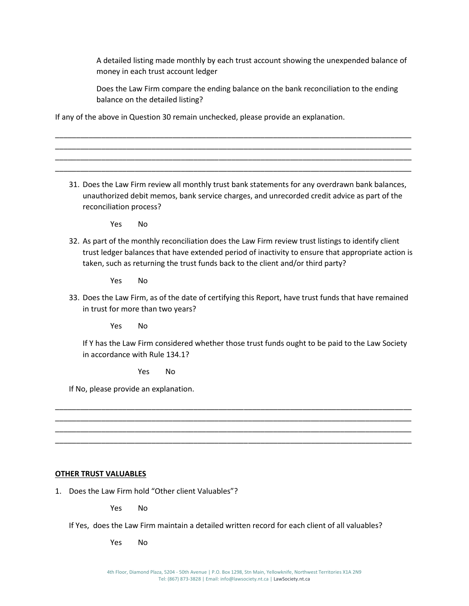A detailed listing made monthly by each trust account showing the unexpended balance of money in each trust account ledger

Does the Law Firm compare the ending balance on the bank reconciliation to the ending balance on the detailed listing?

If any of the above in Question 30 remain unchecked, please provide an explanation.

31. Does the Law Firm review all monthly trust bank statements for any overdrawn bank balances, unauthorized debit memos, bank service charges, and unrecorded credit advice as part of the reconciliation process?

\_\_\_\_\_\_\_\_\_\_\_\_\_\_\_\_\_\_\_\_\_\_\_\_\_\_\_\_\_\_\_\_\_\_\_\_\_\_\_\_\_\_\_\_\_\_\_\_\_\_\_\_\_\_\_\_\_\_\_\_\_\_\_\_\_\_\_\_\_\_\_\_\_\_\_\_\_\_\_\_\_\_\_\_\_ \_\_\_\_\_\_\_\_\_\_\_\_\_\_\_\_\_\_\_\_\_\_\_\_\_\_\_\_\_\_\_\_\_\_\_\_\_\_\_\_\_\_\_\_\_\_\_\_\_\_\_\_\_\_\_\_\_\_\_\_\_\_\_\_\_\_\_\_\_\_\_\_\_\_\_\_\_\_\_\_\_\_\_\_\_ \_\_\_\_\_\_\_\_\_\_\_\_\_\_\_\_\_\_\_\_\_\_\_\_\_\_\_\_\_\_\_\_\_\_\_\_\_\_\_\_\_\_\_\_\_\_\_\_\_\_\_\_\_\_\_\_\_\_\_\_\_\_\_\_\_\_\_\_\_\_\_\_\_\_\_\_\_\_\_\_\_\_\_\_\_ \_\_\_\_\_\_\_\_\_\_\_\_\_\_\_\_\_\_\_\_\_\_\_\_\_\_\_\_\_\_\_\_\_\_\_\_\_\_\_\_\_\_\_\_\_\_\_\_\_\_\_\_\_\_\_\_\_\_\_\_\_\_\_\_\_\_\_\_\_\_\_\_\_\_\_\_\_\_\_\_\_\_\_\_\_

Yes No

32. As part of the monthly reconciliation does the Law Firm review trust listings to identify client trust ledger balances that have extended period of inactivity to ensure that appropriate action is taken, such as returning the trust funds back to the client and/or third party?

Yes No

33. Does the Law Firm, as of the date of certifying this Report, have trust funds that have remained in trust for more than two years?

Yes No

If Y has the Law Firm considered whether those trust funds ought to be paid to the Law Society in accordance with Rule 134.1?

\_\_\_\_\_\_\_\_\_\_\_\_\_\_\_\_\_\_\_\_\_\_\_\_\_\_\_\_\_\_\_\_\_\_\_\_\_\_\_\_\_\_\_\_\_\_\_\_\_\_\_\_\_\_\_\_\_\_\_\_\_\_\_\_\_\_\_\_\_\_\_\_\_\_\_\_\_\_\_\_\_\_\_\_\_ \_\_\_\_\_\_\_\_\_\_\_\_\_\_\_\_\_\_\_\_\_\_\_\_\_\_\_\_\_\_\_\_\_\_\_\_\_\_\_\_\_\_\_\_\_\_\_\_\_\_\_\_\_\_\_\_\_\_\_\_\_\_\_\_\_\_\_\_\_\_\_\_\_\_\_\_\_\_\_\_\_\_\_\_\_ \_\_\_\_\_\_\_\_\_\_\_\_\_\_\_\_\_\_\_\_\_\_\_\_\_\_\_\_\_\_\_\_\_\_\_\_\_\_\_\_\_\_\_\_\_\_\_\_\_\_\_\_\_\_\_\_\_\_\_\_\_\_\_\_\_\_\_\_\_\_\_\_\_\_\_\_\_\_\_\_\_\_\_\_\_ \_\_\_\_\_\_\_\_\_\_\_\_\_\_\_\_\_\_\_\_\_\_\_\_\_\_\_\_\_\_\_\_\_\_\_\_\_\_\_\_\_\_\_\_\_\_\_\_\_\_\_\_\_\_\_\_\_\_\_\_\_\_\_\_\_\_\_\_\_\_\_\_\_\_\_\_\_\_\_\_\_\_\_\_\_

Yes No

If No, please provide an explanation.

#### **OTHER TRUST VALUABLES**

1. Does the Law Firm hold "Other client Valuables"?

Yes No

If Yes, does the Law Firm maintain a detailed written record for each client of all valuables?

Yes No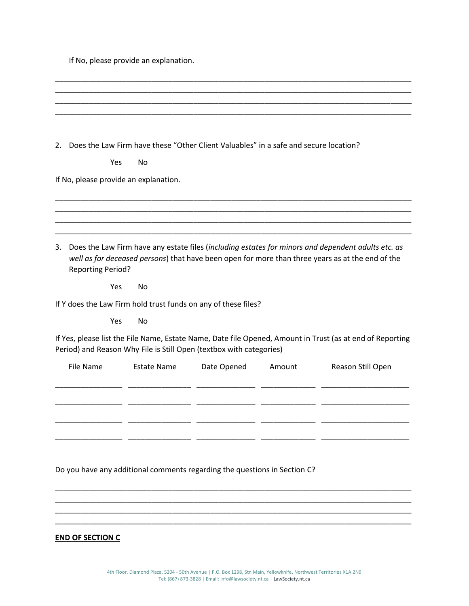If No, please provide an explanation.

|                                                                           |                    | 2. Does the Law Firm have these "Other Client Valuables" in a safe and secure location? |        |                                                                                                                                                                                                        |
|---------------------------------------------------------------------------|--------------------|-----------------------------------------------------------------------------------------|--------|--------------------------------------------------------------------------------------------------------------------------------------------------------------------------------------------------------|
| Yes                                                                       | No                 |                                                                                         |        |                                                                                                                                                                                                        |
| If No, please provide an explanation.                                     |                    |                                                                                         |        |                                                                                                                                                                                                        |
|                                                                           |                    |                                                                                         |        |                                                                                                                                                                                                        |
|                                                                           |                    |                                                                                         |        |                                                                                                                                                                                                        |
| 3.<br><b>Reporting Period?</b>                                            |                    |                                                                                         |        | Does the Law Firm have any estate files (including estates for minors and dependent adults etc. as<br>well as for deceased persons) that have been open for more than three years as at the end of the |
| Yes                                                                       | No                 |                                                                                         |        |                                                                                                                                                                                                        |
| If Y does the Law Firm hold trust funds on any of these files?            |                    |                                                                                         |        |                                                                                                                                                                                                        |
| Yes                                                                       | No                 |                                                                                         |        |                                                                                                                                                                                                        |
| Period) and Reason Why File is Still Open (textbox with categories)       |                    |                                                                                         |        | If Yes, please list the File Name, Estate Name, Date file Opened, Amount in Trust (as at end of Reporting                                                                                              |
| <b>File Name</b>                                                          | <b>Estate Name</b> | Date Opened                                                                             | Amount | Reason Still Open                                                                                                                                                                                      |
|                                                                           |                    |                                                                                         |        |                                                                                                                                                                                                        |
|                                                                           |                    |                                                                                         |        |                                                                                                                                                                                                        |
| Do you have any additional comments regarding the questions in Section C? |                    |                                                                                         |        |                                                                                                                                                                                                        |
|                                                                           |                    |                                                                                         |        |                                                                                                                                                                                                        |
|                                                                           |                    |                                                                                         |        |                                                                                                                                                                                                        |
| <b>END OF SECTION C</b>                                                   |                    |                                                                                         |        |                                                                                                                                                                                                        |

\_\_\_\_\_\_\_\_\_\_\_\_\_\_\_\_\_\_\_\_\_\_\_\_\_\_\_\_\_\_\_\_\_\_\_\_\_\_\_\_\_\_\_\_\_\_\_\_\_\_\_\_\_\_\_\_\_\_\_\_\_\_\_\_\_\_\_\_\_\_\_\_\_\_\_\_\_\_\_\_\_\_\_\_\_ \_\_\_\_\_\_\_\_\_\_\_\_\_\_\_\_\_\_\_\_\_\_\_\_\_\_\_\_\_\_\_\_\_\_\_\_\_\_\_\_\_\_\_\_\_\_\_\_\_\_\_\_\_\_\_\_\_\_\_\_\_\_\_\_\_\_\_\_\_\_\_\_\_\_\_\_\_\_\_\_\_\_\_\_\_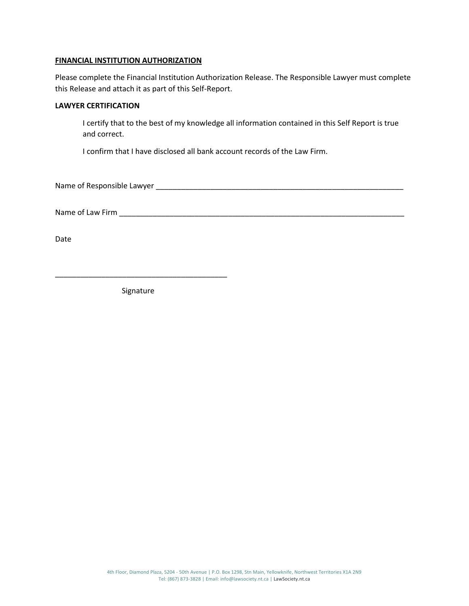### **FINANCIAL INSTITUTION AUTHORIZATION**

Please complete the Financial Institution Authorization Release. The Responsible Lawyer must complete this Release and attach it as part of this Self-Report.

## **LAWYER CERTIFICATION**

I certify that to the best of my knowledge all information contained in this Self Report is true and correct.

I confirm that I have disclosed all bank account records of the Law Firm.

Name of Responsible Lawyer \_\_\_\_\_\_\_\_\_\_\_\_\_\_\_\_\_\_\_\_\_\_\_\_\_\_\_\_\_\_\_\_\_\_\_\_\_\_\_\_\_\_\_\_\_\_\_\_\_\_\_\_\_\_\_\_\_\_\_

Name of Law Firm \_\_\_\_\_\_\_\_\_\_\_\_\_\_\_\_\_\_\_\_\_\_\_\_\_\_\_\_\_\_\_\_\_\_\_\_\_\_\_\_\_\_\_\_\_\_\_\_\_\_\_\_\_\_\_\_\_\_\_\_\_\_\_\_\_\_\_\_

Date

Signature

\_\_\_\_\_\_\_\_\_\_\_\_\_\_\_\_\_\_\_\_\_\_\_\_\_\_\_\_\_\_\_\_\_\_\_\_\_\_\_\_\_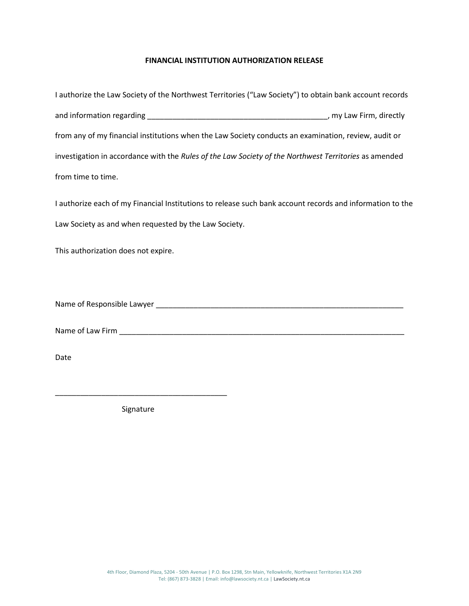# **FINANCIAL INSTITUTION AUTHORIZATION RELEASE**

| I authorize the Law Society of the Northwest Territories ("Law Society") to obtain bank account records |                         |
|---------------------------------------------------------------------------------------------------------|-------------------------|
|                                                                                                         | , my Law Firm, directly |
| from any of my financial institutions when the Law Society conducts an examination, review, audit or    |                         |
| investigation in accordance with the Rules of the Law Society of the Northwest Territories as amended   |                         |
| from time to time.                                                                                      |                         |

I authorize each of my Financial Institutions to release such bank account records and information to the Law Society as and when requested by the Law Society.

This authorization does not expire.

Name of Responsible Lawyer \_\_\_\_\_\_\_\_\_\_\_\_\_\_\_\_\_\_\_\_\_\_\_\_\_\_\_\_\_\_\_\_\_\_\_\_\_\_\_\_\_\_\_\_\_\_\_\_\_\_\_\_\_\_\_\_\_\_\_

Name of Law Firm \_\_\_\_\_\_\_\_\_\_\_\_\_\_\_\_\_\_\_\_\_\_\_\_\_\_\_\_\_\_\_\_\_\_\_\_\_\_\_\_\_\_\_\_\_\_\_\_\_\_\_\_\_\_\_\_\_\_\_\_\_\_\_\_\_\_\_\_

Date

Signature

\_\_\_\_\_\_\_\_\_\_\_\_\_\_\_\_\_\_\_\_\_\_\_\_\_\_\_\_\_\_\_\_\_\_\_\_\_\_\_\_\_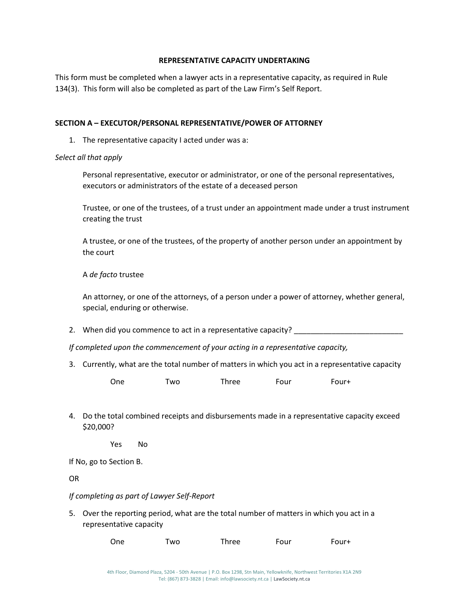# **REPRESENTATIVE CAPACITY UNDERTAKING**

This form must be completed when a lawyer acts in a representative capacity, as required in Rule 134(3). This form will also be completed as part of the Law Firm's Self Report.

# **SECTION A – EXECUTOR/PERSONAL REPRESENTATIVE/POWER OF ATTORNEY**

1. The representative capacity I acted under was a:

## *Select all that apply*

Personal representative, executor or administrator, or one of the personal representatives, executors or administrators of the estate of a deceased person

Trustee, or one of the trustees, of a trust under an appointment made under a trust instrument creating the trust

A trustee, or one of the trustees, of the property of another person under an appointment by the court

## A *de facto* trustee

An attorney, or one of the attorneys, of a person under a power of attorney, whether general, special, enduring or otherwise.

2. When did you commence to act in a representative capacity?

*If completed upon the commencement of your acting in a representative capacity,*

3. Currently, what are the total number of matters in which you act in a representative capacity

| One | Two | Three | Four | Four+ |
|-----|-----|-------|------|-------|
|     |     |       |      |       |

4. Do the total combined receipts and disbursements made in a representative capacity exceed \$20,000?

Yes No

If No, go to Section B.

OR

# *If completing as part of Lawyer Self-Report*

5. Over the reporting period, what are the total number of matters in which you act in a representative capacity

| One<br>Three<br>Four<br>Two | Four+ |
|-----------------------------|-------|
|-----------------------------|-------|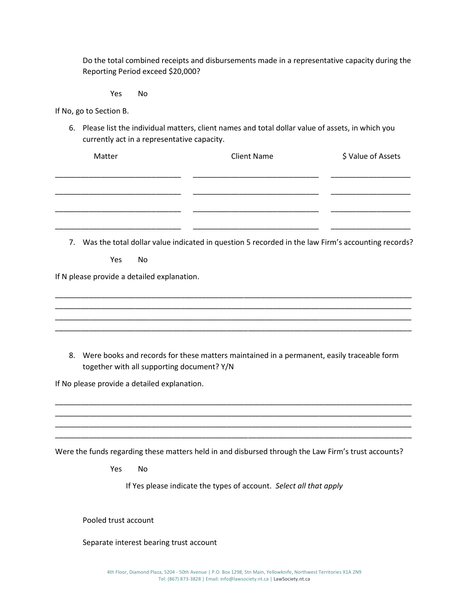Do the total combined receipts and disbursements made in a representative capacity during the Reporting Period exceed \$20,000?

Yes No

If No, go to Section B.

6. Please list the individual matters, client names and total dollar value of assets, in which you currently act in a representative capacity.

| Matter            | <b>Client Name</b>                                                                                   | \$ Value of Assets |
|-------------------|------------------------------------------------------------------------------------------------------|--------------------|
|                   |                                                                                                      |                    |
|                   |                                                                                                      |                    |
|                   | 7. Was the total dollar value indicated in question 5 recorded in the law Firm's accounting records? |                    |
| <b>Yes</b><br>No. |                                                                                                      |                    |

If N please provide a detailed explanation.

8. Were books and records for these matters maintained in a permanent, easily traceable form together with all supporting document? Y/N

\_\_\_\_\_\_\_\_\_\_\_\_\_\_\_\_\_\_\_\_\_\_\_\_\_\_\_\_\_\_\_\_\_\_\_\_\_\_\_\_\_\_\_\_\_\_\_\_\_\_\_\_\_\_\_\_\_\_\_\_\_\_\_\_\_\_\_\_\_\_\_\_\_\_\_\_\_\_\_\_\_\_\_\_\_ \_\_\_\_\_\_\_\_\_\_\_\_\_\_\_\_\_\_\_\_\_\_\_\_\_\_\_\_\_\_\_\_\_\_\_\_\_\_\_\_\_\_\_\_\_\_\_\_\_\_\_\_\_\_\_\_\_\_\_\_\_\_\_\_\_\_\_\_\_\_\_\_\_\_\_\_\_\_\_\_\_\_\_\_\_ \_\_\_\_\_\_\_\_\_\_\_\_\_\_\_\_\_\_\_\_\_\_\_\_\_\_\_\_\_\_\_\_\_\_\_\_\_\_\_\_\_\_\_\_\_\_\_\_\_\_\_\_\_\_\_\_\_\_\_\_\_\_\_\_\_\_\_\_\_\_\_\_\_\_\_\_\_\_\_\_\_\_\_\_\_ \_\_\_\_\_\_\_\_\_\_\_\_\_\_\_\_\_\_\_\_\_\_\_\_\_\_\_\_\_\_\_\_\_\_\_\_\_\_\_\_\_\_\_\_\_\_\_\_\_\_\_\_\_\_\_\_\_\_\_\_\_\_\_\_\_\_\_\_\_\_\_\_\_\_\_\_\_\_\_\_\_\_\_\_\_

\_\_\_\_\_\_\_\_\_\_\_\_\_\_\_\_\_\_\_\_\_\_\_\_\_\_\_\_\_\_\_\_\_\_\_\_\_\_\_\_\_\_\_\_\_\_\_\_\_\_\_\_\_\_\_\_\_\_\_\_\_\_\_\_\_\_\_\_\_\_\_\_\_\_\_\_\_\_\_\_\_\_\_\_\_ \_\_\_\_\_\_\_\_\_\_\_\_\_\_\_\_\_\_\_\_\_\_\_\_\_\_\_\_\_\_\_\_\_\_\_\_\_\_\_\_\_\_\_\_\_\_\_\_\_\_\_\_\_\_\_\_\_\_\_\_\_\_\_\_\_\_\_\_\_\_\_\_\_\_\_\_\_\_\_\_\_\_\_\_\_ \_\_\_\_\_\_\_\_\_\_\_\_\_\_\_\_\_\_\_\_\_\_\_\_\_\_\_\_\_\_\_\_\_\_\_\_\_\_\_\_\_\_\_\_\_\_\_\_\_\_\_\_\_\_\_\_\_\_\_\_\_\_\_\_\_\_\_\_\_\_\_\_\_\_\_\_\_\_\_\_\_\_\_\_\_ \_\_\_\_\_\_\_\_\_\_\_\_\_\_\_\_\_\_\_\_\_\_\_\_\_\_\_\_\_\_\_\_\_\_\_\_\_\_\_\_\_\_\_\_\_\_\_\_\_\_\_\_\_\_\_\_\_\_\_\_\_\_\_\_\_\_\_\_\_\_\_\_\_\_\_\_\_\_\_\_\_\_\_\_\_

If No please provide a detailed explanation.

Were the funds regarding these matters held in and disbursed through the Law Firm's trust accounts?

Yes No

If Yes please indicate the types of account. *Select all that apply* 

Pooled trust account

Separate interest bearing trust account